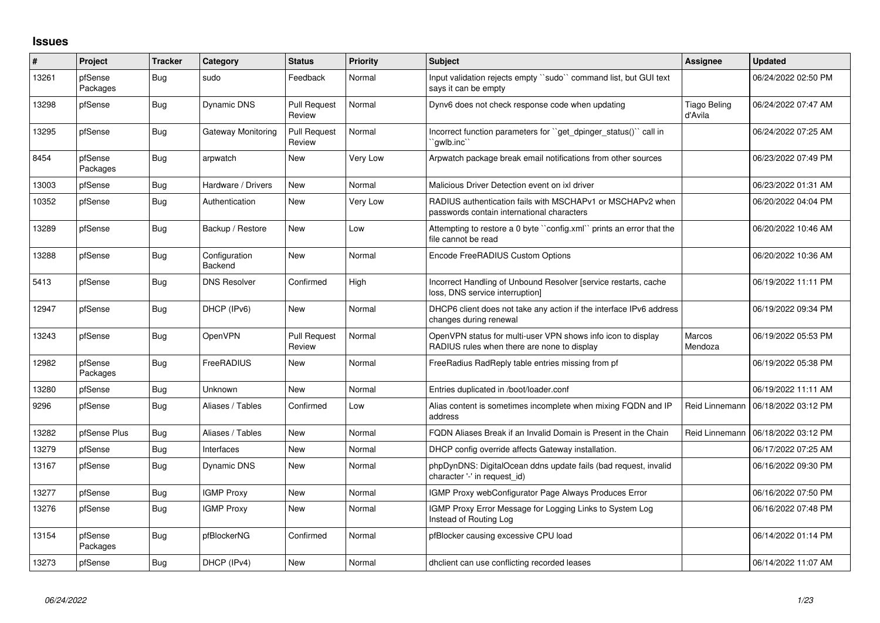## **Issues**

| ∦     | Project             | <b>Tracker</b> | Category                 | <b>Status</b>                 | <b>Priority</b> | Subject                                                                                                     | <b>Assignee</b>                | <b>Updated</b>      |
|-------|---------------------|----------------|--------------------------|-------------------------------|-----------------|-------------------------------------------------------------------------------------------------------------|--------------------------------|---------------------|
| 13261 | pfSense<br>Packages | Bug            | sudo                     | Feedback                      | Normal          | Input validation rejects empty "sudo" command list, but GUI text<br>says it can be empty                    |                                | 06/24/2022 02:50 PM |
| 13298 | pfSense             | <b>Bug</b>     | <b>Dynamic DNS</b>       | <b>Pull Request</b><br>Review | Normal          | Dynv6 does not check response code when updating                                                            | <b>Tiago Beling</b><br>d'Avila | 06/24/2022 07:47 AM |
| 13295 | pfSense             | Bug            | Gateway Monitoring       | <b>Pull Request</b><br>Review | Normal          | Incorrect function parameters for "get_dpinger_status()" call in<br>`qwlb.inc`                              |                                | 06/24/2022 07:25 AM |
| 8454  | pfSense<br>Packages | <b>Bug</b>     | arpwatch                 | New                           | Very Low        | Arpwatch package break email notifications from other sources                                               |                                | 06/23/2022 07:49 PM |
| 13003 | pfSense             | Bug            | Hardware / Drivers       | New                           | Normal          | Malicious Driver Detection event on ixl driver                                                              |                                | 06/23/2022 01:31 AM |
| 10352 | pfSense             | <b>Bug</b>     | Authentication           | New                           | Very Low        | RADIUS authentication fails with MSCHAPv1 or MSCHAPv2 when<br>passwords contain international characters    |                                | 06/20/2022 04:04 PM |
| 13289 | pfSense             | Bug            | Backup / Restore         | New                           | Low             | Attempting to restore a 0 byte "config.xml" prints an error that the<br>file cannot be read                 |                                | 06/20/2022 10:46 AM |
| 13288 | pfSense             | <b>Bug</b>     | Configuration<br>Backend | New                           | Normal          | Encode FreeRADIUS Custom Options                                                                            |                                | 06/20/2022 10:36 AM |
| 5413  | pfSense             | Bug            | <b>DNS Resolver</b>      | Confirmed                     | High            | Incorrect Handling of Unbound Resolver [service restarts, cache<br>loss, DNS service interruption]          |                                | 06/19/2022 11:11 PM |
| 12947 | pfSense             | <b>Bug</b>     | DHCP (IPv6)              | New                           | Normal          | DHCP6 client does not take any action if the interface IPv6 address<br>changes during renewal               |                                | 06/19/2022 09:34 PM |
| 13243 | pfSense             | Bug            | OpenVPN                  | <b>Pull Request</b><br>Review | Normal          | OpenVPN status for multi-user VPN shows info icon to display<br>RADIUS rules when there are none to display | Marcos<br>Mendoza              | 06/19/2022 05:53 PM |
| 12982 | pfSense<br>Packages | Bug            | FreeRADIUS               | New                           | Normal          | FreeRadius RadReply table entries missing from pf                                                           |                                | 06/19/2022 05:38 PM |
| 13280 | pfSense             | <b>Bug</b>     | Unknown                  | <b>New</b>                    | Normal          | Entries duplicated in /boot/loader.conf                                                                     |                                | 06/19/2022 11:11 AM |
| 9296  | pfSense             | <b>Bug</b>     | Aliases / Tables         | Confirmed                     | Low             | Alias content is sometimes incomplete when mixing FQDN and IP<br>address                                    | Reid Linnemann                 | 06/18/2022 03:12 PM |
| 13282 | pfSense Plus        | Bug            | Aliases / Tables         | New                           | Normal          | FQDN Aliases Break if an Invalid Domain is Present in the Chain                                             | Reid Linnemann                 | 06/18/2022 03:12 PM |
| 13279 | pfSense             | Bug            | Interfaces               | New                           | Normal          | DHCP config override affects Gateway installation.                                                          |                                | 06/17/2022 07:25 AM |
| 13167 | pfSense             | <b>Bug</b>     | Dynamic DNS              | <b>New</b>                    | Normal          | phpDynDNS: DigitalOcean ddns update fails (bad request, invalid<br>character '-' in request id)             |                                | 06/16/2022 09:30 PM |
| 13277 | pfSense             | <b>Bug</b>     | <b>IGMP Proxy</b>        | <b>New</b>                    | Normal          | IGMP Proxy webConfigurator Page Always Produces Error                                                       |                                | 06/16/2022 07:50 PM |
| 13276 | pfSense             | Bug            | <b>IGMP Proxy</b>        | <b>New</b>                    | Normal          | IGMP Proxy Error Message for Logging Links to System Log<br>Instead of Routing Log                          |                                | 06/16/2022 07:48 PM |
| 13154 | pfSense<br>Packages | <b>Bug</b>     | pfBlockerNG              | Confirmed                     | Normal          | pfBlocker causing excessive CPU load                                                                        |                                | 06/14/2022 01:14 PM |
| 13273 | pfSense             | Bug            | DHCP (IPv4)              | <b>New</b>                    | Normal          | dholient can use conflicting recorded leases                                                                |                                | 06/14/2022 11:07 AM |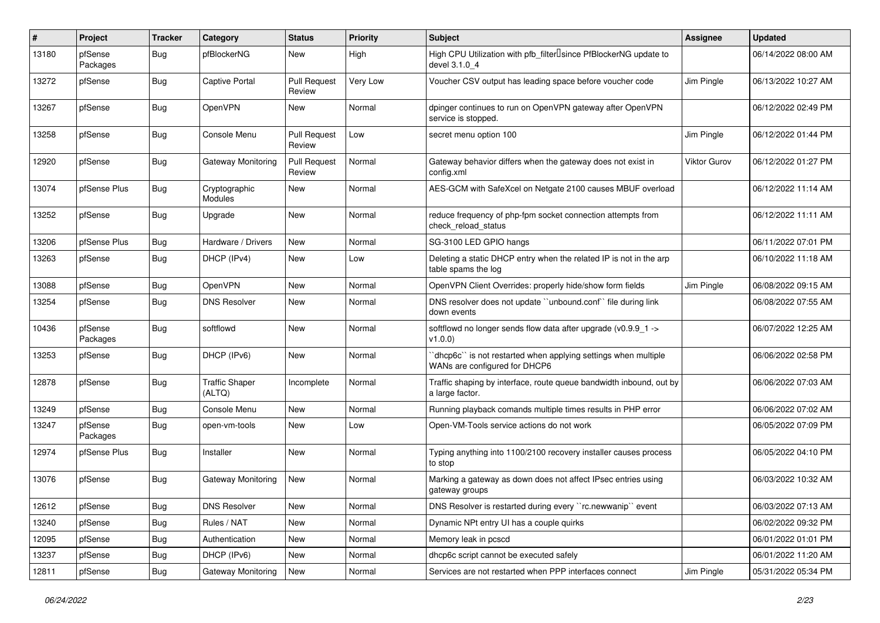| #     | Project             | <b>Tracker</b> | Category                        | <b>Status</b>                 | <b>Priority</b> | <b>Subject</b>                                                                                   | Assignee            | <b>Updated</b>      |
|-------|---------------------|----------------|---------------------------------|-------------------------------|-----------------|--------------------------------------------------------------------------------------------------|---------------------|---------------------|
| 13180 | pfSense<br>Packages | <b>Bug</b>     | pfBlockerNG                     | New                           | High            | High CPU Utilization with pfb_filter <sup>[]</sup> since PfBlockerNG update to<br>devel 3.1.0 4  |                     | 06/14/2022 08:00 AM |
| 13272 | pfSense             | <b>Bug</b>     | <b>Captive Portal</b>           | <b>Pull Request</b><br>Review | Very Low        | Voucher CSV output has leading space before voucher code                                         | Jim Pingle          | 06/13/2022 10:27 AM |
| 13267 | pfSense             | <b>Bug</b>     | <b>OpenVPN</b>                  | New                           | Normal          | dpinger continues to run on OpenVPN gateway after OpenVPN<br>service is stopped.                 |                     | 06/12/2022 02:49 PM |
| 13258 | pfSense             | Bug            | Console Menu                    | <b>Pull Request</b><br>Review | Low             | secret menu option 100                                                                           | Jim Pingle          | 06/12/2022 01:44 PM |
| 12920 | pfSense             | Bug            | Gateway Monitoring              | <b>Pull Request</b><br>Review | Normal          | Gateway behavior differs when the gateway does not exist in<br>config.xml                        | <b>Viktor Gurov</b> | 06/12/2022 01:27 PM |
| 13074 | pfSense Plus        | Bug            | Cryptographic<br>Modules        | <b>New</b>                    | Normal          | AES-GCM with SafeXcel on Netgate 2100 causes MBUF overload                                       |                     | 06/12/2022 11:14 AM |
| 13252 | pfSense             | <b>Bug</b>     | Upgrade                         | New                           | Normal          | reduce frequency of php-fpm socket connection attempts from<br>check reload status               |                     | 06/12/2022 11:11 AM |
| 13206 | pfSense Plus        | <b>Bug</b>     | Hardware / Drivers              | <b>New</b>                    | Normal          | SG-3100 LED GPIO hangs                                                                           |                     | 06/11/2022 07:01 PM |
| 13263 | pfSense             | Bug            | DHCP (IPv4)                     | New                           | Low             | Deleting a static DHCP entry when the related IP is not in the arp<br>table spams the log        |                     | 06/10/2022 11:18 AM |
| 13088 | pfSense             | <b>Bug</b>     | <b>OpenVPN</b>                  | <b>New</b>                    | Normal          | OpenVPN Client Overrides: properly hide/show form fields                                         | Jim Pingle          | 06/08/2022 09:15 AM |
| 13254 | pfSense             | <b>Bug</b>     | <b>DNS Resolver</b>             | <b>New</b>                    | Normal          | DNS resolver does not update "unbound.conf" file during link<br>down events                      |                     | 06/08/2022 07:55 AM |
| 10436 | pfSense<br>Packages | <b>Bug</b>     | softflowd                       | New                           | Normal          | softflowd no longer sends flow data after upgrade (v0.9.9_1 -><br>v1.0.0)                        |                     | 06/07/2022 12:25 AM |
| 13253 | pfSense             | <b>Bug</b>     | DHCP (IPv6)                     | <b>New</b>                    | Normal          | 'dhcp6c'' is not restarted when applying settings when multiple<br>WANs are configured for DHCP6 |                     | 06/06/2022 02:58 PM |
| 12878 | pfSense             | <b>Bug</b>     | <b>Traffic Shaper</b><br>(ALTQ) | Incomplete                    | Normal          | Traffic shaping by interface, route queue bandwidth inbound, out by<br>a large factor.           |                     | 06/06/2022 07:03 AM |
| 13249 | pfSense             | <b>Bug</b>     | Console Menu                    | <b>New</b>                    | Normal          | Running playback comands multiple times results in PHP error                                     |                     | 06/06/2022 07:02 AM |
| 13247 | pfSense<br>Packages | <b>Bug</b>     | open-vm-tools                   | New                           | Low             | Open-VM-Tools service actions do not work                                                        |                     | 06/05/2022 07:09 PM |
| 12974 | pfSense Plus        | <b>Bug</b>     | Installer                       | <b>New</b>                    | Normal          | Typing anything into 1100/2100 recovery installer causes process<br>to stop                      |                     | 06/05/2022 04:10 PM |
| 13076 | pfSense             | <b>Bug</b>     | Gateway Monitoring              | New                           | Normal          | Marking a gateway as down does not affect IPsec entries using<br>gateway groups                  |                     | 06/03/2022 10:32 AM |
| 12612 | pfSense             | <b>Bug</b>     | <b>DNS Resolver</b>             | New                           | Normal          | DNS Resolver is restarted during every "rc.newwanip" event                                       |                     | 06/03/2022 07:13 AM |
| 13240 | pfSense             | <b>Bug</b>     | Rules / NAT                     | New                           | Normal          | Dynamic NPt entry UI has a couple quirks                                                         |                     | 06/02/2022 09:32 PM |
| 12095 | pfSense             | <b>Bug</b>     | Authentication                  | New                           | Normal          | Memory leak in pcscd                                                                             |                     | 06/01/2022 01:01 PM |
| 13237 | pfSense             | <b>Bug</b>     | DHCP (IPv6)                     | New                           | Normal          | dhcp6c script cannot be executed safely                                                          |                     | 06/01/2022 11:20 AM |
| 12811 | pfSense             | <b>Bug</b>     | Gateway Monitoring              | New                           | Normal          | Services are not restarted when PPP interfaces connect                                           | Jim Pingle          | 05/31/2022 05:34 PM |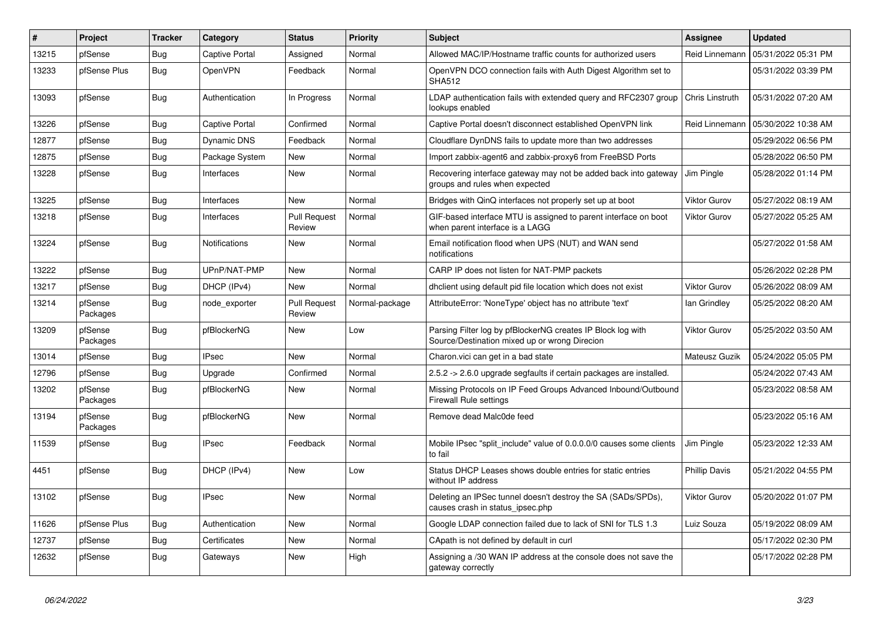| $\overline{\boldsymbol{H}}$ | Project             | <b>Tracker</b> | Category              | <b>Status</b>                 | <b>Priority</b> | <b>Subject</b>                                                                                               | Assignee             | <b>Updated</b>      |
|-----------------------------|---------------------|----------------|-----------------------|-------------------------------|-----------------|--------------------------------------------------------------------------------------------------------------|----------------------|---------------------|
| 13215                       | pfSense             | <b>Bug</b>     | Captive Portal        | Assigned                      | Normal          | Allowed MAC/IP/Hostname traffic counts for authorized users                                                  | Reid Linnemann       | 05/31/2022 05:31 PM |
| 13233                       | pfSense Plus        | Bug            | OpenVPN               | Feedback                      | Normal          | OpenVPN DCO connection fails with Auth Digest Algorithm set to<br><b>SHA512</b>                              |                      | 05/31/2022 03:39 PM |
| 13093                       | pfSense             | Bug            | Authentication        | In Progress                   | Normal          | LDAP authentication fails with extended query and RFC2307 group<br>lookups enabled                           | Chris Linstruth      | 05/31/2022 07:20 AM |
| 13226                       | pfSense             | <b>Bug</b>     | <b>Captive Portal</b> | Confirmed                     | Normal          | Captive Portal doesn't disconnect established OpenVPN link                                                   | Reid Linnemann       | 05/30/2022 10:38 AM |
| 12877                       | pfSense             | Bug            | Dynamic DNS           | Feedback                      | Normal          | Cloudflare DynDNS fails to update more than two addresses                                                    |                      | 05/29/2022 06:56 PM |
| 12875                       | pfSense             | Bug            | Package System        | New                           | Normal          | Import zabbix-agent6 and zabbix-proxy6 from FreeBSD Ports                                                    |                      | 05/28/2022 06:50 PM |
| 13228                       | pfSense             | <b>Bug</b>     | Interfaces            | New                           | Normal          | Recovering interface gateway may not be added back into gateway<br>groups and rules when expected            | Jim Pingle           | 05/28/2022 01:14 PM |
| 13225                       | pfSense             | <b>Bug</b>     | Interfaces            | <b>New</b>                    | Normal          | Bridges with QinQ interfaces not properly set up at boot                                                     | <b>Viktor Gurov</b>  | 05/27/2022 08:19 AM |
| 13218                       | pfSense             | Bug            | Interfaces            | <b>Pull Request</b><br>Review | Normal          | GIF-based interface MTU is assigned to parent interface on boot<br>when parent interface is a LAGG           | <b>Viktor Gurov</b>  | 05/27/2022 05:25 AM |
| 13224                       | pfSense             | Bug            | <b>Notifications</b>  | New                           | Normal          | Email notification flood when UPS (NUT) and WAN send<br>notifications                                        |                      | 05/27/2022 01:58 AM |
| 13222                       | pfSense             | <b>Bug</b>     | UPnP/NAT-PMP          | New                           | Normal          | CARP IP does not listen for NAT-PMP packets                                                                  |                      | 05/26/2022 02:28 PM |
| 13217                       | pfSense             | Bug            | DHCP (IPv4)           | New                           | Normal          | dholient using default pid file location which does not exist                                                | <b>Viktor Gurov</b>  | 05/26/2022 08:09 AM |
| 13214                       | pfSense<br>Packages | Bug            | node exporter         | <b>Pull Request</b><br>Review | Normal-package  | AttributeError: 'NoneType' object has no attribute 'text'                                                    | lan Grindley         | 05/25/2022 08:20 AM |
| 13209                       | pfSense<br>Packages | Bug            | pfBlockerNG           | New                           | Low             | Parsing Filter log by pfBlockerNG creates IP Block log with<br>Source/Destination mixed up or wrong Direcion | <b>Viktor Gurov</b>  | 05/25/2022 03:50 AM |
| 13014                       | pfSense             | Bug            | <b>IPsec</b>          | New                           | Normal          | Charon.vici can get in a bad state                                                                           | Mateusz Guzik        | 05/24/2022 05:05 PM |
| 12796                       | pfSense             | Bug            | Upgrade               | Confirmed                     | Normal          | 2.5.2 -> 2.6.0 upgrade segfaults if certain packages are installed.                                          |                      | 05/24/2022 07:43 AM |
| 13202                       | pfSense<br>Packages | <b>Bug</b>     | pfBlockerNG           | New                           | Normal          | Missing Protocols on IP Feed Groups Advanced Inbound/Outbound<br><b>Firewall Rule settings</b>               |                      | 05/23/2022 08:58 AM |
| 13194                       | pfSense<br>Packages | <b>Bug</b>     | pfBlockerNG           | New                           | Normal          | Remove dead Malc0de feed                                                                                     |                      | 05/23/2022 05:16 AM |
| 11539                       | pfSense             | Bug            | <b>IPsec</b>          | Feedback                      | Normal          | Mobile IPsec "split include" value of 0.0.0.0/0 causes some clients<br>to fail                               | Jim Pingle           | 05/23/2022 12:33 AM |
| 4451                        | pfSense             | Bug            | DHCP (IPv4)           | New                           | Low             | Status DHCP Leases shows double entries for static entries<br>without IP address                             | <b>Phillip Davis</b> | 05/21/2022 04:55 PM |
| 13102                       | pfSense             | Bug            | <b>IPsec</b>          | New                           | Normal          | Deleting an IPSec tunnel doesn't destroy the SA (SADs/SPDs).<br>causes crash in status ipsec.php             | <b>Viktor Gurov</b>  | 05/20/2022 01:07 PM |
| 11626                       | pfSense Plus        | Bug            | Authentication        | New                           | Normal          | Google LDAP connection failed due to lack of SNI for TLS 1.3                                                 | Luiz Souza           | 05/19/2022 08:09 AM |
| 12737                       | pfSense             | <b>Bug</b>     | Certificates          | New                           | Normal          | CApath is not defined by default in curl                                                                     |                      | 05/17/2022 02:30 PM |
| 12632                       | pfSense             | <b>Bug</b>     | Gateways              | New                           | High            | Assigning a /30 WAN IP address at the console does not save the<br>gateway correctly                         |                      | 05/17/2022 02:28 PM |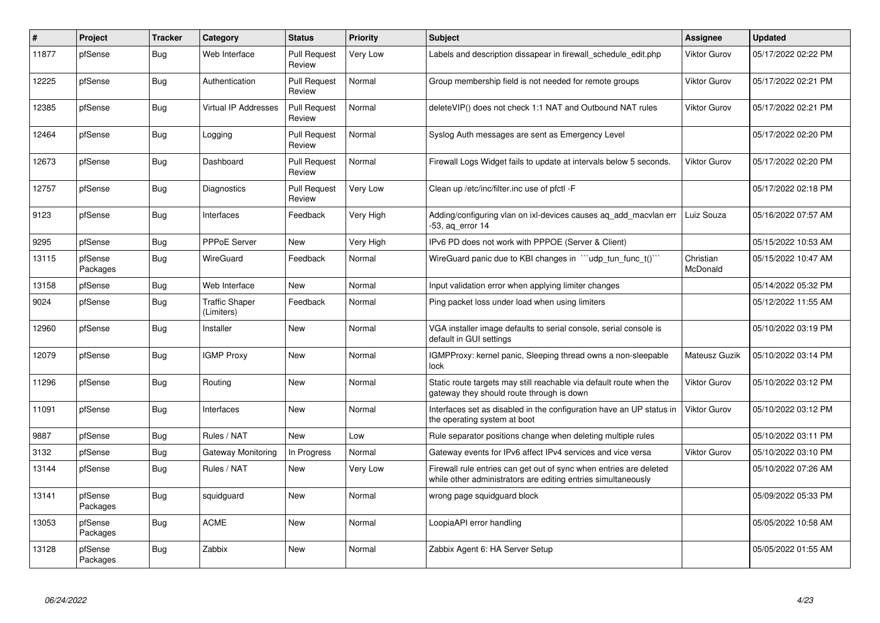| $\sharp$ | Project             | <b>Tracker</b> | Category                            | <b>Status</b>                 | <b>Priority</b> | <b>Subject</b>                                                                                                                      | <b>Assignee</b>       | <b>Updated</b>      |
|----------|---------------------|----------------|-------------------------------------|-------------------------------|-----------------|-------------------------------------------------------------------------------------------------------------------------------------|-----------------------|---------------------|
| 11877    | pfSense             | <b>Bug</b>     | Web Interface                       | <b>Pull Request</b><br>Review | Very Low        | Labels and description dissapear in firewall schedule edit.php                                                                      | <b>Viktor Gurov</b>   | 05/17/2022 02:22 PM |
| 12225    | pfSense             | Bug            | Authentication                      | <b>Pull Request</b><br>Review | Normal          | Group membership field is not needed for remote groups                                                                              | <b>Viktor Gurov</b>   | 05/17/2022 02:21 PM |
| 12385    | pfSense             | Bug            | Virtual IP Addresses                | <b>Pull Request</b><br>Review | Normal          | deleteVIP() does not check 1:1 NAT and Outbound NAT rules                                                                           | <b>Viktor Gurov</b>   | 05/17/2022 02:21 PM |
| 12464    | pfSense             | Bug            | Logging                             | <b>Pull Request</b><br>Review | Normal          | Syslog Auth messages are sent as Emergency Level                                                                                    |                       | 05/17/2022 02:20 PM |
| 12673    | pfSense             | <b>Bug</b>     | Dashboard                           | <b>Pull Request</b><br>Review | Normal          | Firewall Logs Widget fails to update at intervals below 5 seconds.                                                                  | <b>Viktor Gurov</b>   | 05/17/2022 02:20 PM |
| 12757    | pfSense             | <b>Bug</b>     | Diagnostics                         | <b>Pull Request</b><br>Review | Very Low        | Clean up /etc/inc/filter.inc use of pfctl -F                                                                                        |                       | 05/17/2022 02:18 PM |
| 9123     | pfSense             | <b>Bug</b>     | Interfaces                          | Feedback                      | Very High       | Adding/configuring vlan on ixl-devices causes ag add macvlan err<br>-53, ag error 14                                                | Luiz Souza            | 05/16/2022 07:57 AM |
| 9295     | pfSense             | Bug            | PPPoE Server                        | New                           | Very High       | IPv6 PD does not work with PPPOE (Server & Client)                                                                                  |                       | 05/15/2022 10:53 AM |
| 13115    | pfSense<br>Packages | <b>Bug</b>     | WireGuard                           | Feedback                      | Normal          | WireGuard panic due to KBI changes in ""udp_tun_func_t()""                                                                          | Christian<br>McDonald | 05/15/2022 10:47 AM |
| 13158    | pfSense             | <b>Bug</b>     | Web Interface                       | <b>New</b>                    | Normal          | Input validation error when applying limiter changes                                                                                |                       | 05/14/2022 05:32 PM |
| 9024     | pfSense             | <b>Bug</b>     | <b>Traffic Shaper</b><br>(Limiters) | Feedback                      | Normal          | Ping packet loss under load when using limiters                                                                                     |                       | 05/12/2022 11:55 AM |
| 12960    | pfSense             | Bug            | Installer                           | <b>New</b>                    | Normal          | VGA installer image defaults to serial console, serial console is<br>default in GUI settings                                        |                       | 05/10/2022 03:19 PM |
| 12079    | pfSense             | <b>Bug</b>     | <b>IGMP Proxy</b>                   | <b>New</b>                    | Normal          | IGMPProxy: kernel panic, Sleeping thread owns a non-sleepable<br>lock                                                               | Mateusz Guzik         | 05/10/2022 03:14 PM |
| 11296    | pfSense             | Bug            | Routing                             | New                           | Normal          | Static route targets may still reachable via default route when the<br>gateway they should route through is down                    | <b>Viktor Gurov</b>   | 05/10/2022 03:12 PM |
| 11091    | pfSense             | Bug            | Interfaces                          | New                           | Normal          | Interfaces set as disabled in the configuration have an UP status in<br>the operating system at boot                                | <b>Viktor Gurov</b>   | 05/10/2022 03:12 PM |
| 9887     | pfSense             | <b>Bug</b>     | Rules / NAT                         | New                           | Low             | Rule separator positions change when deleting multiple rules                                                                        |                       | 05/10/2022 03:11 PM |
| 3132     | pfSense             | Bug            | Gateway Monitoring                  | In Progress                   | Normal          | Gateway events for IPv6 affect IPv4 services and vice versa                                                                         | <b>Viktor Gurov</b>   | 05/10/2022 03:10 PM |
| 13144    | pfSense             | <b>Bug</b>     | Rules / NAT                         | New                           | Very Low        | Firewall rule entries can get out of sync when entries are deleted<br>while other administrators are editing entries simultaneously |                       | 05/10/2022 07:26 AM |
| 13141    | pfSense<br>Packages | <b>Bug</b>     | squidguard                          | New                           | Normal          | wrong page squidguard block                                                                                                         |                       | 05/09/2022 05:33 PM |
| 13053    | pfSense<br>Packages | <b>Bug</b>     | <b>ACME</b>                         | New                           | Normal          | LoopiaAPI error handling                                                                                                            |                       | 05/05/2022 10:58 AM |
| 13128    | pfSense<br>Packages | Bug            | Zabbix                              | New                           | Normal          | Zabbix Agent 6: HA Server Setup                                                                                                     |                       | 05/05/2022 01:55 AM |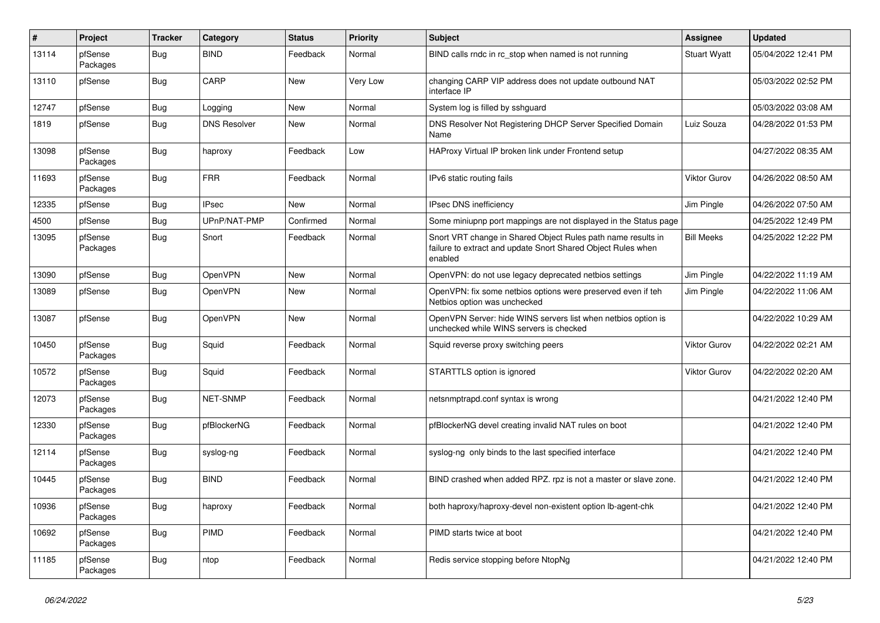| $\sharp$ | Project             | <b>Tracker</b> | Category            | <b>Status</b> | Priority | <b>Subject</b>                                                                                                                          | Assignee            | <b>Updated</b>      |
|----------|---------------------|----------------|---------------------|---------------|----------|-----------------------------------------------------------------------------------------------------------------------------------------|---------------------|---------------------|
| 13114    | pfSense<br>Packages | <b>Bug</b>     | <b>BIND</b>         | Feedback      | Normal   | BIND calls rndc in rc stop when named is not running                                                                                    | <b>Stuart Wyatt</b> | 05/04/2022 12:41 PM |
| 13110    | pfSense             | Bug            | CARP                | New           | Very Low | changing CARP VIP address does not update outbound NAT<br>interface IP                                                                  |                     | 05/03/2022 02:52 PM |
| 12747    | pfSense             | <b>Bug</b>     | Logging             | New           | Normal   | System log is filled by sshguard                                                                                                        |                     | 05/03/2022 03:08 AM |
| 1819     | pfSense             | <b>Bug</b>     | <b>DNS Resolver</b> | New           | Normal   | DNS Resolver Not Registering DHCP Server Specified Domain<br>Name                                                                       | Luiz Souza          | 04/28/2022 01:53 PM |
| 13098    | pfSense<br>Packages | Bug            | haproxy             | Feedback      | Low      | HAProxy Virtual IP broken link under Frontend setup                                                                                     |                     | 04/27/2022 08:35 AM |
| 11693    | pfSense<br>Packages | <b>Bug</b>     | FRR                 | Feedback      | Normal   | IPv6 static routing fails                                                                                                               | <b>Viktor Gurov</b> | 04/26/2022 08:50 AM |
| 12335    | pfSense             | <b>Bug</b>     | <b>IPsec</b>        | New           | Normal   | <b>IPsec DNS inefficiency</b>                                                                                                           | Jim Pingle          | 04/26/2022 07:50 AM |
| 4500     | pfSense             | <b>Bug</b>     | UPnP/NAT-PMP        | Confirmed     | Normal   | Some miniupnp port mappings are not displayed in the Status page                                                                        |                     | 04/25/2022 12:49 PM |
| 13095    | pfSense<br>Packages | <b>Bug</b>     | Snort               | Feedback      | Normal   | Snort VRT change in Shared Object Rules path name results in<br>failure to extract and update Snort Shared Object Rules when<br>enabled | <b>Bill Meeks</b>   | 04/25/2022 12:22 PM |
| 13090    | pfSense             | Bug            | <b>OpenVPN</b>      | New           | Normal   | OpenVPN: do not use legacy deprecated netbios settings                                                                                  | Jim Pingle          | 04/22/2022 11:19 AM |
| 13089    | pfSense             | <b>Bug</b>     | <b>OpenVPN</b>      | New           | Normal   | OpenVPN: fix some netbios options were preserved even if teh<br>Netbios option was unchecked                                            | Jim Pingle          | 04/22/2022 11:06 AM |
| 13087    | pfSense             | <b>Bug</b>     | <b>OpenVPN</b>      | New           | Normal   | OpenVPN Server: hide WINS servers list when netbios option is<br>unchecked while WINS servers is checked                                |                     | 04/22/2022 10:29 AM |
| 10450    | pfSense<br>Packages | Bug            | Squid               | Feedback      | Normal   | Squid reverse proxy switching peers                                                                                                     | <b>Viktor Gurov</b> | 04/22/2022 02:21 AM |
| 10572    | pfSense<br>Packages | <b>Bug</b>     | Squid               | Feedback      | Normal   | STARTTLS option is ignored                                                                                                              | <b>Viktor Gurov</b> | 04/22/2022 02:20 AM |
| 12073    | pfSense<br>Packages | <b>Bug</b>     | <b>NET-SNMP</b>     | Feedback      | Normal   | netsnmptrapd.conf syntax is wrong                                                                                                       |                     | 04/21/2022 12:40 PM |
| 12330    | pfSense<br>Packages | <b>Bug</b>     | pfBlockerNG         | Feedback      | Normal   | pfBlockerNG devel creating invalid NAT rules on boot                                                                                    |                     | 04/21/2022 12:40 PM |
| 12114    | pfSense<br>Packages | <b>Bug</b>     | syslog-ng           | Feedback      | Normal   | syslog-ng only binds to the last specified interface                                                                                    |                     | 04/21/2022 12:40 PM |
| 10445    | pfSense<br>Packages | Bug            | <b>BIND</b>         | Feedback      | Normal   | BIND crashed when added RPZ. rpz is not a master or slave zone.                                                                         |                     | 04/21/2022 12:40 PM |
| 10936    | pfSense<br>Packages | <b>Bug</b>     | haproxy             | Feedback      | Normal   | both haproxy/haproxy-devel non-existent option Ib-agent-chk                                                                             |                     | 04/21/2022 12:40 PM |
| 10692    | pfSense<br>Packages | Bug            | PIMD                | Feedback      | Normal   | PIMD starts twice at boot                                                                                                               |                     | 04/21/2022 12:40 PM |
| 11185    | pfSense<br>Packages | Bug            | ntop                | Feedback      | Normal   | Redis service stopping before NtopNg                                                                                                    |                     | 04/21/2022 12:40 PM |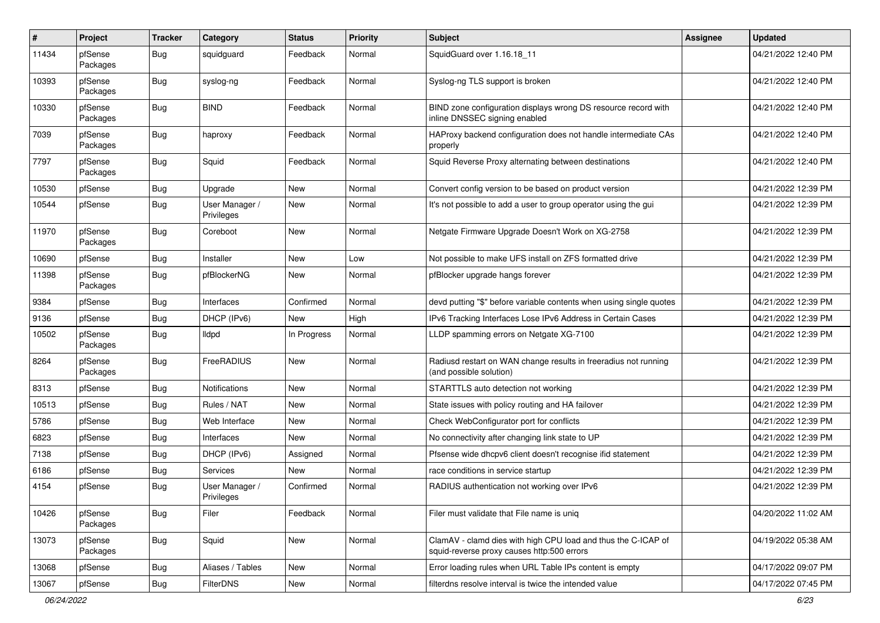| $\pmb{\#}$ | Project             | <b>Tracker</b> | Category                     | <b>Status</b> | <b>Priority</b> | <b>Subject</b>                                                                                              | <b>Assignee</b> | <b>Updated</b>      |
|------------|---------------------|----------------|------------------------------|---------------|-----------------|-------------------------------------------------------------------------------------------------------------|-----------------|---------------------|
| 11434      | pfSense<br>Packages | <b>Bug</b>     | squidguard                   | Feedback      | Normal          | SquidGuard over 1.16.18_11                                                                                  |                 | 04/21/2022 12:40 PM |
| 10393      | pfSense<br>Packages | <b>Bug</b>     | syslog-ng                    | Feedback      | Normal          | Syslog-ng TLS support is broken                                                                             |                 | 04/21/2022 12:40 PM |
| 10330      | pfSense<br>Packages | <b>Bug</b>     | <b>BIND</b>                  | Feedback      | Normal          | BIND zone configuration displays wrong DS resource record with<br>inline DNSSEC signing enabled             |                 | 04/21/2022 12:40 PM |
| 7039       | pfSense<br>Packages | <b>Bug</b>     | haproxy                      | Feedback      | Normal          | HAProxy backend configuration does not handle intermediate CAs<br>properly                                  |                 | 04/21/2022 12:40 PM |
| 7797       | pfSense<br>Packages | <b>Bug</b>     | Squid                        | Feedback      | Normal          | Squid Reverse Proxy alternating between destinations                                                        |                 | 04/21/2022 12:40 PM |
| 10530      | pfSense             | Bug            | Upgrade                      | New           | Normal          | Convert config version to be based on product version                                                       |                 | 04/21/2022 12:39 PM |
| 10544      | pfSense             | <b>Bug</b>     | User Manager /<br>Privileges | New           | Normal          | It's not possible to add a user to group operator using the gui                                             |                 | 04/21/2022 12:39 PM |
| 11970      | pfSense<br>Packages | <b>Bug</b>     | Coreboot                     | New           | Normal          | Netgate Firmware Upgrade Doesn't Work on XG-2758                                                            |                 | 04/21/2022 12:39 PM |
| 10690      | pfSense             | <b>Bug</b>     | Installer                    | <b>New</b>    | Low             | Not possible to make UFS install on ZFS formatted drive                                                     |                 | 04/21/2022 12:39 PM |
| 11398      | pfSense<br>Packages | <b>Bug</b>     | pfBlockerNG                  | New           | Normal          | pfBlocker upgrade hangs forever                                                                             |                 | 04/21/2022 12:39 PM |
| 9384       | pfSense             | <b>Bug</b>     | Interfaces                   | Confirmed     | Normal          | devd putting "\$" before variable contents when using single quotes                                         |                 | 04/21/2022 12:39 PM |
| 9136       | pfSense             | <b>Bug</b>     | DHCP (IPv6)                  | New           | High            | IPv6 Tracking Interfaces Lose IPv6 Address in Certain Cases                                                 |                 | 04/21/2022 12:39 PM |
| 10502      | pfSense<br>Packages | <b>Bug</b>     | <b>Ildpd</b>                 | In Progress   | Normal          | LLDP spamming errors on Netgate XG-7100                                                                     |                 | 04/21/2022 12:39 PM |
| 8264       | pfSense<br>Packages | <b>Bug</b>     | FreeRADIUS                   | New           | Normal          | Radiusd restart on WAN change results in freeradius not running<br>(and possible solution)                  |                 | 04/21/2022 12:39 PM |
| 8313       | pfSense             | <b>Bug</b>     | Notifications                | New           | Normal          | STARTTLS auto detection not working                                                                         |                 | 04/21/2022 12:39 PM |
| 10513      | pfSense             | <b>Bug</b>     | Rules / NAT                  | New           | Normal          | State issues with policy routing and HA failover                                                            |                 | 04/21/2022 12:39 PM |
| 5786       | pfSense             | <b>Bug</b>     | Web Interface                | New           | Normal          | Check WebConfigurator port for conflicts                                                                    |                 | 04/21/2022 12:39 PM |
| 6823       | pfSense             | <b>Bug</b>     | Interfaces                   | New           | Normal          | No connectivity after changing link state to UP                                                             |                 | 04/21/2022 12:39 PM |
| 7138       | pfSense             | <b>Bug</b>     | DHCP (IPv6)                  | Assigned      | Normal          | Pfsense wide dhcpv6 client doesn't recognise ifid statement                                                 |                 | 04/21/2022 12:39 PM |
| 6186       | pfSense             | <b>Bug</b>     | Services                     | New           | Normal          | race conditions in service startup                                                                          |                 | 04/21/2022 12:39 PM |
| 4154       | pfSense             | <b>Bug</b>     | User Manager /<br>Privileges | Confirmed     | Normal          | RADIUS authentication not working over IPv6                                                                 |                 | 04/21/2022 12:39 PM |
| 10426      | pfSense<br>Packages | <b>Bug</b>     | Filer                        | Feedback      | Normal          | Filer must validate that File name is uniq                                                                  |                 | 04/20/2022 11:02 AM |
| 13073      | pfSense<br>Packages | Bug            | Squid                        | New           | Normal          | ClamAV - clamd dies with high CPU load and thus the C-ICAP of<br>squid-reverse proxy causes http:500 errors |                 | 04/19/2022 05:38 AM |
| 13068      | pfSense             | <b>Bug</b>     | Aliases / Tables             | <b>New</b>    | Normal          | Error loading rules when URL Table IPs content is empty                                                     |                 | 04/17/2022 09:07 PM |
| 13067      | pfSense             | <b>Bug</b>     | <b>FilterDNS</b>             | New           | Normal          | filterdns resolve interval is twice the intended value                                                      |                 | 04/17/2022 07:45 PM |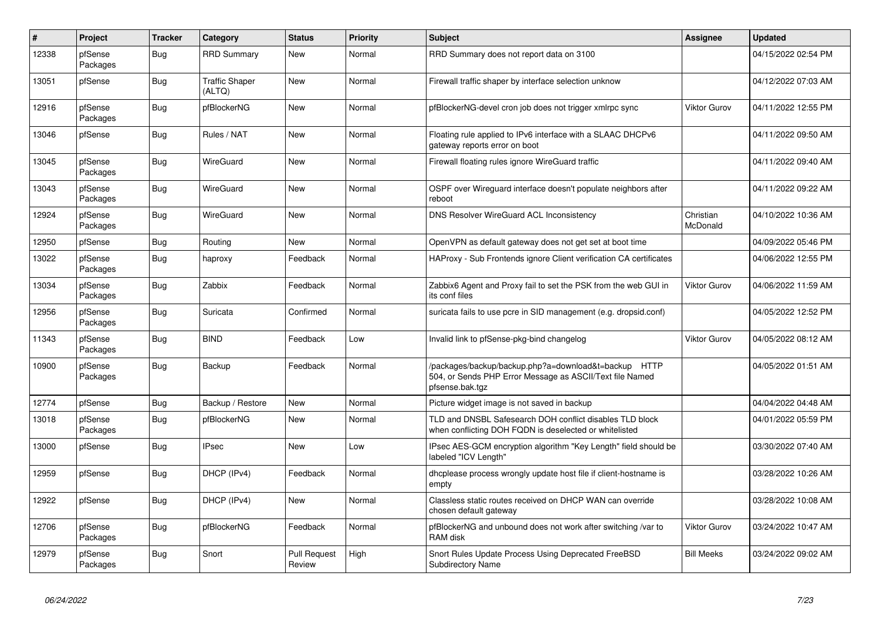| $\sharp$ | Project             | <b>Tracker</b> | Category                        | <b>Status</b>                 | <b>Priority</b> | <b>Subject</b>                                                                                                                      | Assignee              | <b>Updated</b>      |
|----------|---------------------|----------------|---------------------------------|-------------------------------|-----------------|-------------------------------------------------------------------------------------------------------------------------------------|-----------------------|---------------------|
| 12338    | pfSense<br>Packages | <b>Bug</b>     | <b>RRD Summary</b>              | New                           | Normal          | RRD Summary does not report data on 3100                                                                                            |                       | 04/15/2022 02:54 PM |
| 13051    | pfSense             | Bug            | <b>Traffic Shaper</b><br>(ALTQ) | New                           | Normal          | Firewall traffic shaper by interface selection unknow                                                                               |                       | 04/12/2022 07:03 AM |
| 12916    | pfSense<br>Packages | Bug            | pfBlockerNG                     | <b>New</b>                    | Normal          | pfBlockerNG-devel cron job does not trigger xmlrpc sync                                                                             | <b>Viktor Gurov</b>   | 04/11/2022 12:55 PM |
| 13046    | pfSense             | Bug            | Rules / NAT                     | <b>New</b>                    | Normal          | Floating rule applied to IPv6 interface with a SLAAC DHCPv6<br>gateway reports error on boot                                        |                       | 04/11/2022 09:50 AM |
| 13045    | pfSense<br>Packages | <b>Bug</b>     | WireGuard                       | New                           | Normal          | Firewall floating rules ignore WireGuard traffic                                                                                    |                       | 04/11/2022 09:40 AM |
| 13043    | pfSense<br>Packages | Bug            | WireGuard                       | New                           | Normal          | OSPF over Wireguard interface doesn't populate neighbors after<br>reboot                                                            |                       | 04/11/2022 09:22 AM |
| 12924    | pfSense<br>Packages | <b>Bug</b>     | WireGuard                       | New                           | Normal          | DNS Resolver WireGuard ACL Inconsistency                                                                                            | Christian<br>McDonald | 04/10/2022 10:36 AM |
| 12950    | pfSense             | <b>Bug</b>     | Routing                         | New                           | Normal          | OpenVPN as default gateway does not get set at boot time                                                                            |                       | 04/09/2022 05:46 PM |
| 13022    | pfSense<br>Packages | Bug            | haproxy                         | Feedback                      | Normal          | HAProxy - Sub Frontends ignore Client verification CA certificates                                                                  |                       | 04/06/2022 12:55 PM |
| 13034    | pfSense<br>Packages | <b>Bug</b>     | Zabbix                          | Feedback                      | Normal          | Zabbix6 Agent and Proxy fail to set the PSK from the web GUI in<br>its conf files                                                   | <b>Viktor Gurov</b>   | 04/06/2022 11:59 AM |
| 12956    | pfSense<br>Packages | <b>Bug</b>     | Suricata                        | Confirmed                     | Normal          | suricata fails to use pcre in SID management (e.g. dropsid.conf)                                                                    |                       | 04/05/2022 12:52 PM |
| 11343    | pfSense<br>Packages | Bug            | <b>BIND</b>                     | Feedback                      | Low             | Invalid link to pfSense-pkg-bind changelog                                                                                          | <b>Viktor Gurov</b>   | 04/05/2022 08:12 AM |
| 10900    | pfSense<br>Packages | <b>Bug</b>     | Backup                          | Feedback                      | Normal          | /packages/backup/backup.php?a=download&t=backup HTTP<br>504, or Sends PHP Error Message as ASCII/Text file Named<br>pfsense.bak.tgz |                       | 04/05/2022 01:51 AM |
| 12774    | pfSense             | Bug            | Backup / Restore                | New                           | Normal          | Picture widget image is not saved in backup                                                                                         |                       | 04/04/2022 04:48 AM |
| 13018    | pfSense<br>Packages | <b>Bug</b>     | pfBlockerNG                     | New                           | Normal          | TLD and DNSBL Safesearch DOH conflict disables TLD block<br>when conflicting DOH FQDN is deselected or whitelisted                  |                       | 04/01/2022 05:59 PM |
| 13000    | pfSense             | <b>Bug</b>     | <b>IPsec</b>                    | New                           | Low             | IPsec AES-GCM encryption algorithm "Key Length" field should be<br>labeled "ICV Length"                                             |                       | 03/30/2022 07:40 AM |
| 12959    | pfSense             | <b>Bug</b>     | DHCP (IPv4)                     | Feedback                      | Normal          | dhcplease process wrongly update host file if client-hostname is<br>empty                                                           |                       | 03/28/2022 10:26 AM |
| 12922    | pfSense             | <b>Bug</b>     | DHCP (IPv4)                     | New                           | Normal          | Classless static routes received on DHCP WAN can override<br>chosen default gateway                                                 |                       | 03/28/2022 10:08 AM |
| 12706    | pfSense<br>Packages | Bug            | pfBlockerNG                     | Feedback                      | Normal          | pfBlockerNG and unbound does not work after switching /var to<br>RAM disk                                                           | <b>Viktor Gurov</b>   | 03/24/2022 10:47 AM |
| 12979    | pfSense<br>Packages | <b>Bug</b>     | Snort                           | <b>Pull Request</b><br>Review | High            | Snort Rules Update Process Using Deprecated FreeBSD<br><b>Subdirectory Name</b>                                                     | <b>Bill Meeks</b>     | 03/24/2022 09:02 AM |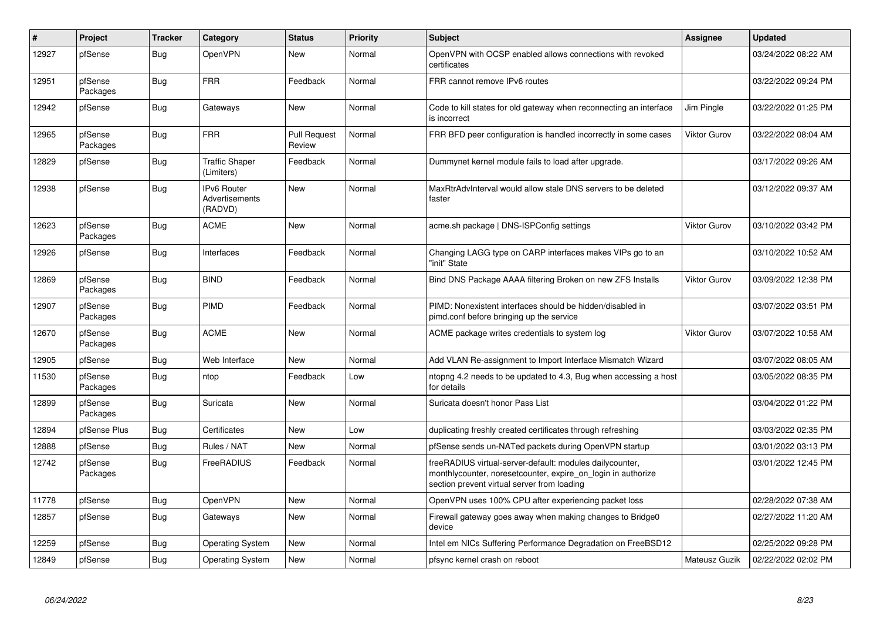| $\pmb{\#}$ | <b>Project</b>      | <b>Tracker</b> | Category                                        | <b>Status</b>                 | <b>Priority</b> | <b>Subject</b>                                                                                                                                                          | Assignee      | <b>Updated</b>      |
|------------|---------------------|----------------|-------------------------------------------------|-------------------------------|-----------------|-------------------------------------------------------------------------------------------------------------------------------------------------------------------------|---------------|---------------------|
| 12927      | pfSense             | Bug            | <b>OpenVPN</b>                                  | New                           | Normal          | OpenVPN with OCSP enabled allows connections with revoked<br>certificates                                                                                               |               | 03/24/2022 08:22 AM |
| 12951      | pfSense<br>Packages | Bug            | FRR                                             | Feedback                      | Normal          | FRR cannot remove IPv6 routes                                                                                                                                           |               | 03/22/2022 09:24 PM |
| 12942      | pfSense             | Bug            | Gateways                                        | New                           | Normal          | Code to kill states for old gateway when reconnecting an interface<br>is incorrect                                                                                      | Jim Pingle    | 03/22/2022 01:25 PM |
| 12965      | pfSense<br>Packages | <b>Bug</b>     | <b>FRR</b>                                      | <b>Pull Request</b><br>Review | Normal          | FRR BFD peer configuration is handled incorrectly in some cases                                                                                                         | Viktor Gurov  | 03/22/2022 08:04 AM |
| 12829      | pfSense             | <b>Bug</b>     | <b>Traffic Shaper</b><br>(Limiters)             | Feedback                      | Normal          | Dummynet kernel module fails to load after upgrade.                                                                                                                     |               | 03/17/2022 09:26 AM |
| 12938      | pfSense             | <b>Bug</b>     | <b>IPv6 Router</b><br>Advertisements<br>(RADVD) | New                           | Normal          | MaxRtrAdvInterval would allow stale DNS servers to be deleted<br>faster                                                                                                 |               | 03/12/2022 09:37 AM |
| 12623      | pfSense<br>Packages | Bug            | ACME                                            | New                           | Normal          | acme.sh package   DNS-ISPConfig settings                                                                                                                                | Viktor Gurov  | 03/10/2022 03:42 PM |
| 12926      | pfSense             | <b>Bug</b>     | Interfaces                                      | Feedback                      | Normal          | Changing LAGG type on CARP interfaces makes VIPs go to an<br>"init" State                                                                                               |               | 03/10/2022 10:52 AM |
| 12869      | pfSense<br>Packages | <b>Bug</b>     | <b>BIND</b>                                     | Feedback                      | Normal          | Bind DNS Package AAAA filtering Broken on new ZFS Installs                                                                                                              | Viktor Gurov  | 03/09/2022 12:38 PM |
| 12907      | pfSense<br>Packages | <b>Bug</b>     | PIMD                                            | Feedback                      | Normal          | PIMD: Nonexistent interfaces should be hidden/disabled in<br>pimd.conf before bringing up the service                                                                   |               | 03/07/2022 03:51 PM |
| 12670      | pfSense<br>Packages | Bug            | ACME                                            | New                           | Normal          | ACME package writes credentials to system log                                                                                                                           | Viktor Gurov  | 03/07/2022 10:58 AM |
| 12905      | pfSense             | Bug            | Web Interface                                   | New                           | Normal          | Add VLAN Re-assignment to Import Interface Mismatch Wizard                                                                                                              |               | 03/07/2022 08:05 AM |
| 11530      | pfSense<br>Packages | <b>Bug</b>     | ntop                                            | Feedback                      | Low             | ntopng 4.2 needs to be updated to 4.3, Bug when accessing a host<br>for details                                                                                         |               | 03/05/2022 08:35 PM |
| 12899      | pfSense<br>Packages | Bug            | Suricata                                        | New                           | Normal          | Suricata doesn't honor Pass List                                                                                                                                        |               | 03/04/2022 01:22 PM |
| 12894      | pfSense Plus        | Bug            | Certificates                                    | New                           | Low             | duplicating freshly created certificates through refreshing                                                                                                             |               | 03/03/2022 02:35 PM |
| 12888      | pfSense             | <b>Bug</b>     | Rules / NAT                                     | New                           | Normal          | pfSense sends un-NATed packets during OpenVPN startup                                                                                                                   |               | 03/01/2022 03:13 PM |
| 12742      | pfSense<br>Packages | Bug            | FreeRADIUS                                      | Feedback                      | Normal          | freeRADIUS virtual-server-default: modules dailycounter,<br>monthlycounter, noresetcounter, expire on login in authorize<br>section prevent virtual server from loading |               | 03/01/2022 12:45 PM |
| 11778      | pfSense             | <b>Bug</b>     | <b>OpenVPN</b>                                  | <b>New</b>                    | Normal          | OpenVPN uses 100% CPU after experiencing packet loss                                                                                                                    |               | 02/28/2022 07:38 AM |
| 12857      | pfSense             | <b>Bug</b>     | Gateways                                        | New                           | Normal          | Firewall gateway goes away when making changes to Bridge0<br>device                                                                                                     |               | 02/27/2022 11:20 AM |
| 12259      | pfSense             | <b>Bug</b>     | Operating System                                | New                           | Normal          | Intel em NICs Suffering Performance Degradation on FreeBSD12                                                                                                            |               | 02/25/2022 09:28 PM |
| 12849      | pfSense             | <b>Bug</b>     | <b>Operating System</b>                         | New                           | Normal          | pfsync kernel crash on reboot                                                                                                                                           | Mateusz Guzik | 02/22/2022 02:02 PM |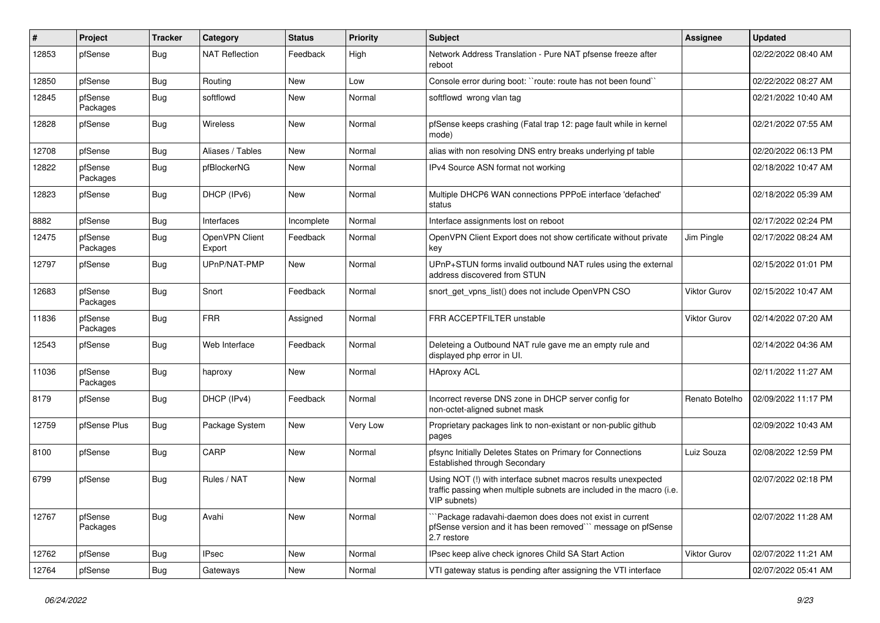| #     | Project             | <b>Tracker</b> | Category                 | <b>Status</b> | Priority | <b>Subject</b>                                                                                                                                         | Assignee            | <b>Updated</b>      |
|-------|---------------------|----------------|--------------------------|---------------|----------|--------------------------------------------------------------------------------------------------------------------------------------------------------|---------------------|---------------------|
| 12853 | pfSense             | <b>Bug</b>     | <b>NAT Reflection</b>    | Feedback      | High     | Network Address Translation - Pure NAT pfsense freeze after<br>reboot                                                                                  |                     | 02/22/2022 08:40 AM |
| 12850 | pfSense             | <b>Bug</b>     | Routing                  | New           | Low      | Console error during boot: "route: route has not been found"                                                                                           |                     | 02/22/2022 08:27 AM |
| 12845 | pfSense<br>Packages | <b>Bug</b>     | softflowd                | New           | Normal   | softflowd wrong vlan tag                                                                                                                               |                     | 02/21/2022 10:40 AM |
| 12828 | pfSense             | Bug            | Wireless                 | New           | Normal   | pfSense keeps crashing (Fatal trap 12: page fault while in kernel<br>mode)                                                                             |                     | 02/21/2022 07:55 AM |
| 12708 | pfSense             | <b>Bug</b>     | Aliases / Tables         | New           | Normal   | alias with non resolving DNS entry breaks underlying pf table                                                                                          |                     | 02/20/2022 06:13 PM |
| 12822 | pfSense<br>Packages | <b>Bug</b>     | pfBlockerNG              | New           | Normal   | IPv4 Source ASN format not working                                                                                                                     |                     | 02/18/2022 10:47 AM |
| 12823 | pfSense             | <b>Bug</b>     | DHCP (IPv6)              | New           | Normal   | Multiple DHCP6 WAN connections PPPoE interface 'defached'<br>status                                                                                    |                     | 02/18/2022 05:39 AM |
| 8882  | pfSense             | <b>Bug</b>     | Interfaces               | Incomplete    | Normal   | Interface assignments lost on reboot                                                                                                                   |                     | 02/17/2022 02:24 PM |
| 12475 | pfSense<br>Packages | <b>Bug</b>     | OpenVPN Client<br>Export | Feedback      | Normal   | OpenVPN Client Export does not show certificate without private<br>key                                                                                 | Jim Pingle          | 02/17/2022 08:24 AM |
| 12797 | pfSense             | <b>Bug</b>     | UPnP/NAT-PMP             | <b>New</b>    | Normal   | UPnP+STUN forms invalid outbound NAT rules using the external<br>address discovered from STUN                                                          |                     | 02/15/2022 01:01 PM |
| 12683 | pfSense<br>Packages | <b>Bug</b>     | Snort                    | Feedback      | Normal   | snort_get_vpns_list() does not include OpenVPN CSO                                                                                                     | <b>Viktor Gurov</b> | 02/15/2022 10:47 AM |
| 11836 | pfSense<br>Packages | <b>Bug</b>     | <b>FRR</b>               | Assigned      | Normal   | FRR ACCEPTFILTER unstable                                                                                                                              | Viktor Gurov        | 02/14/2022 07:20 AM |
| 12543 | pfSense             | <b>Bug</b>     | Web Interface            | Feedback      | Normal   | Deleteing a Outbound NAT rule gave me an empty rule and<br>displayed php error in UI.                                                                  |                     | 02/14/2022 04:36 AM |
| 11036 | pfSense<br>Packages | <b>Bug</b>     | haproxy                  | <b>New</b>    | Normal   | <b>HAproxy ACL</b>                                                                                                                                     |                     | 02/11/2022 11:27 AM |
| 8179  | pfSense             | <b>Bug</b>     | DHCP (IPv4)              | Feedback      | Normal   | Incorrect reverse DNS zone in DHCP server config for<br>non-octet-aligned subnet mask                                                                  | Renato Botelho      | 02/09/2022 11:17 PM |
| 12759 | pfSense Plus        | Bug            | Package System           | New           | Very Low | Proprietary packages link to non-existant or non-public github<br>pages                                                                                |                     | 02/09/2022 10:43 AM |
| 8100  | pfSense             | <b>Bug</b>     | CARP                     | New           | Normal   | pfsync Initially Deletes States on Primary for Connections<br>Established through Secondary                                                            | Luiz Souza          | 02/08/2022 12:59 PM |
| 6799  | pfSense             | <b>Bug</b>     | Rules / NAT              | New           | Normal   | Using NOT (!) with interface subnet macros results unexpected<br>traffic passing when multiple subnets are included in the macro (i.e.<br>VIP subnets) |                     | 02/07/2022 02:18 PM |
| 12767 | pfSense<br>Packages | Bug            | Avahi                    | <b>New</b>    | Normal   | Package radavahi-daemon does does not exist in current<br>pfSense version and it has been removed" message on pfSense<br>2.7 restore                   |                     | 02/07/2022 11:28 AM |
| 12762 | pfSense             | <b>Bug</b>     | <b>IPsec</b>             | <b>New</b>    | Normal   | IPsec keep alive check ignores Child SA Start Action                                                                                                   | Viktor Gurov        | 02/07/2022 11:21 AM |
| 12764 | pfSense             | <b>Bug</b>     | Gateways                 | New           | Normal   | VTI gateway status is pending after assigning the VTI interface                                                                                        |                     | 02/07/2022 05:41 AM |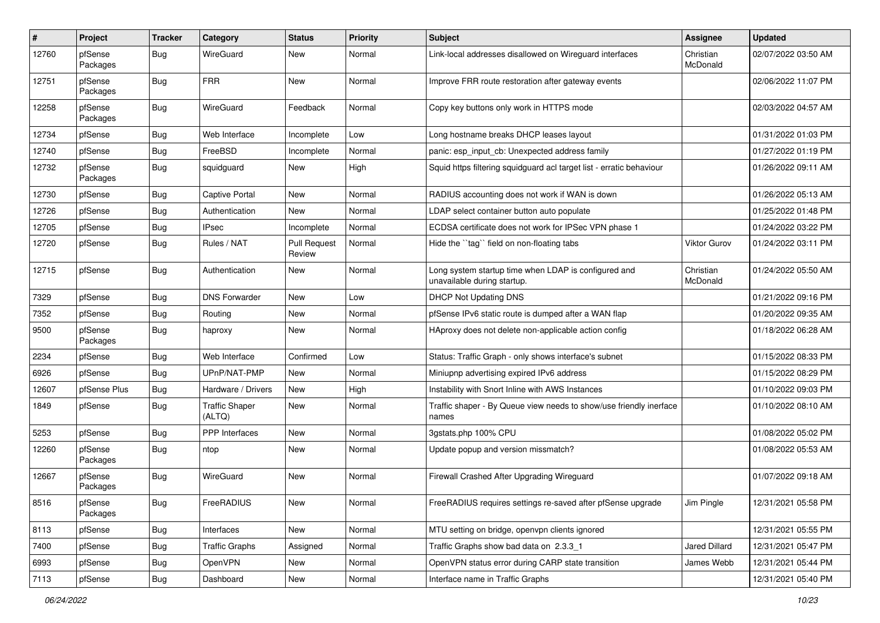| #     | Project             | <b>Tracker</b> | Category                        | <b>Status</b>                 | <b>Priority</b> | <b>Subject</b>                                                                      | <b>Assignee</b>       | <b>Updated</b>      |
|-------|---------------------|----------------|---------------------------------|-------------------------------|-----------------|-------------------------------------------------------------------------------------|-----------------------|---------------------|
| 12760 | pfSense<br>Packages | <b>Bug</b>     | WireGuard                       | New                           | Normal          | Link-local addresses disallowed on Wireguard interfaces                             | Christian<br>McDonald | 02/07/2022 03:50 AM |
| 12751 | pfSense<br>Packages | Bug            | <b>FRR</b>                      | <b>New</b>                    | Normal          | Improve FRR route restoration after gateway events                                  |                       | 02/06/2022 11:07 PM |
| 12258 | pfSense<br>Packages | Bug            | WireGuard                       | Feedback                      | Normal          | Copy key buttons only work in HTTPS mode                                            |                       | 02/03/2022 04:57 AM |
| 12734 | pfSense             | Bug            | Web Interface                   | Incomplete                    | Low             | Long hostname breaks DHCP leases layout                                             |                       | 01/31/2022 01:03 PM |
| 12740 | pfSense             | <b>Bug</b>     | FreeBSD                         | Incomplete                    | Normal          | panic: esp_input_cb: Unexpected address family                                      |                       | 01/27/2022 01:19 PM |
| 12732 | pfSense<br>Packages | <b>Bug</b>     | squidguard                      | New                           | High            | Squid https filtering squidguard acl target list - erratic behaviour                |                       | 01/26/2022 09:11 AM |
| 12730 | pfSense             | <b>Bug</b>     | Captive Portal                  | New                           | Normal          | RADIUS accounting does not work if WAN is down                                      |                       | 01/26/2022 05:13 AM |
| 12726 | pfSense             | <b>Bug</b>     | Authentication                  | New                           | Normal          | LDAP select container button auto populate                                          |                       | 01/25/2022 01:48 PM |
| 12705 | pfSense             | <b>Bug</b>     | <b>IPsec</b>                    | Incomplete                    | Normal          | ECDSA certificate does not work for IPSec VPN phase 1                               |                       | 01/24/2022 03:22 PM |
| 12720 | pfSense             | Bug            | Rules / NAT                     | <b>Pull Request</b><br>Review | Normal          | Hide the "tag" field on non-floating tabs                                           | <b>Viktor Gurov</b>   | 01/24/2022 03:11 PM |
| 12715 | pfSense             | <b>Bug</b>     | Authentication                  | <b>New</b>                    | Normal          | Long system startup time when LDAP is configured and<br>unavailable during startup. | Christian<br>McDonald | 01/24/2022 05:50 AM |
| 7329  | pfSense             | <b>Bug</b>     | <b>DNS Forwarder</b>            | <b>New</b>                    | Low             | <b>DHCP Not Updating DNS</b>                                                        |                       | 01/21/2022 09:16 PM |
| 7352  | pfSense             | <b>Bug</b>     | Routing                         | New                           | Normal          | pfSense IPv6 static route is dumped after a WAN flap                                |                       | 01/20/2022 09:35 AM |
| 9500  | pfSense<br>Packages | <b>Bug</b>     | haproxy                         | New                           | Normal          | HAproxy does not delete non-applicable action config                                |                       | 01/18/2022 06:28 AM |
| 2234  | pfSense             | <b>Bug</b>     | Web Interface                   | Confirmed                     | Low             | Status: Traffic Graph - only shows interface's subnet                               |                       | 01/15/2022 08:33 PM |
| 6926  | pfSense             | Bug            | UPnP/NAT-PMP                    | New                           | Normal          | Miniupnp advertising expired IPv6 address                                           |                       | 01/15/2022 08:29 PM |
| 12607 | pfSense Plus        | <b>Bug</b>     | Hardware / Drivers              | New                           | High            | Instability with Snort Inline with AWS Instances                                    |                       | 01/10/2022 09:03 PM |
| 1849  | pfSense             | Bug            | <b>Traffic Shaper</b><br>(ALTQ) | New                           | Normal          | Traffic shaper - By Queue view needs to show/use friendly inerface<br>names         |                       | 01/10/2022 08:10 AM |
| 5253  | pfSense             | Bug            | PPP Interfaces                  | New                           | Normal          | 3gstats.php 100% CPU                                                                |                       | 01/08/2022 05:02 PM |
| 12260 | pfSense<br>Packages | <b>Bug</b>     | ntop                            | New                           | Normal          | Update popup and version missmatch?                                                 |                       | 01/08/2022 05:53 AM |
| 12667 | pfSense<br>Packages | <b>Bug</b>     | WireGuard                       | New                           | Normal          | Firewall Crashed After Upgrading Wireguard                                          |                       | 01/07/2022 09:18 AM |
| 8516  | pfSense<br>Packages | <b>Bug</b>     | FreeRADIUS                      | New                           | Normal          | FreeRADIUS requires settings re-saved after pfSense upgrade                         | Jim Pingle            | 12/31/2021 05:58 PM |
| 8113  | pfSense             | <b>Bug</b>     | Interfaces                      | New                           | Normal          | MTU setting on bridge, openvpn clients ignored                                      |                       | 12/31/2021 05:55 PM |
| 7400  | pfSense             | <b>Bug</b>     | <b>Traffic Graphs</b>           | Assigned                      | Normal          | Traffic Graphs show bad data on 2.3.3_1                                             | Jared Dillard         | 12/31/2021 05:47 PM |
| 6993  | pfSense             | <b>Bug</b>     | OpenVPN                         | New                           | Normal          | OpenVPN status error during CARP state transition                                   | James Webb            | 12/31/2021 05:44 PM |
| 7113  | pfSense             | <b>Bug</b>     | Dashboard                       | New                           | Normal          | Interface name in Traffic Graphs                                                    |                       | 12/31/2021 05:40 PM |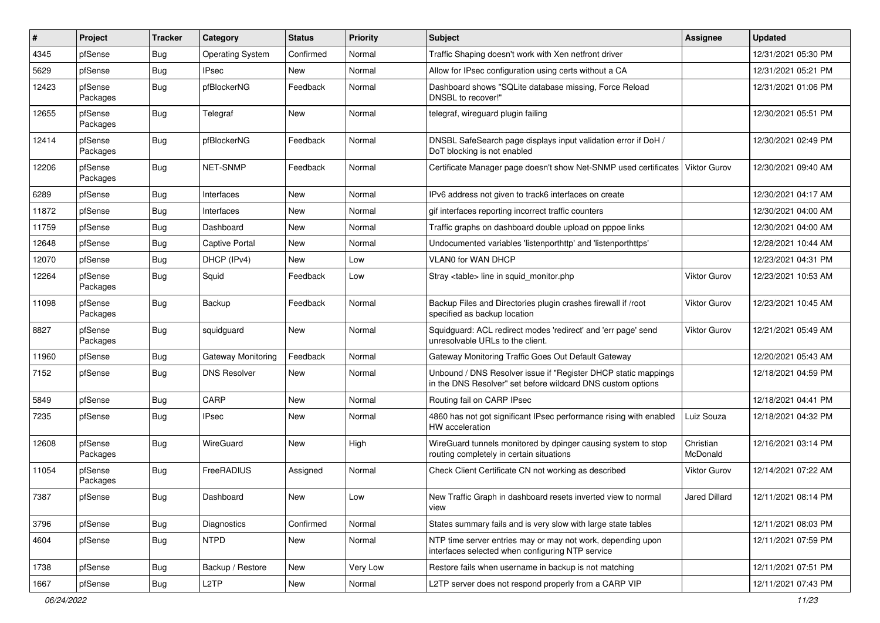| #     | Project             | <b>Tracker</b> | Category                | <b>Status</b> | <b>Priority</b> | <b>Subject</b>                                                                                                                | <b>Assignee</b>       | <b>Updated</b>      |
|-------|---------------------|----------------|-------------------------|---------------|-----------------|-------------------------------------------------------------------------------------------------------------------------------|-----------------------|---------------------|
| 4345  | pfSense             | <b>Bug</b>     | <b>Operating System</b> | Confirmed     | Normal          | Traffic Shaping doesn't work with Xen netfront driver                                                                         |                       | 12/31/2021 05:30 PM |
| 5629  | pfSense             | <b>Bug</b>     | <b>IPsec</b>            | <b>New</b>    | Normal          | Allow for IPsec configuration using certs without a CA                                                                        |                       | 12/31/2021 05:21 PM |
| 12423 | pfSense<br>Packages | <b>Bug</b>     | pfBlockerNG             | Feedback      | Normal          | Dashboard shows "SQLite database missing, Force Reload<br>DNSBL to recover!"                                                  |                       | 12/31/2021 01:06 PM |
| 12655 | pfSense<br>Packages | <b>Bug</b>     | Telegraf                | <b>New</b>    | Normal          | telegraf, wireguard plugin failing                                                                                            |                       | 12/30/2021 05:51 PM |
| 12414 | pfSense<br>Packages | <b>Bug</b>     | pfBlockerNG             | Feedback      | Normal          | DNSBL SafeSearch page displays input validation error if DoH /<br>DoT blocking is not enabled                                 |                       | 12/30/2021 02:49 PM |
| 12206 | pfSense<br>Packages | <b>Bug</b>     | <b>NET-SNMP</b>         | Feedback      | Normal          | Certificate Manager page doesn't show Net-SNMP used certificates                                                              | Viktor Gurov          | 12/30/2021 09:40 AM |
| 6289  | pfSense             | <b>Bug</b>     | Interfaces              | New           | Normal          | IPv6 address not given to track6 interfaces on create                                                                         |                       | 12/30/2021 04:17 AM |
| 11872 | pfSense             | <b>Bug</b>     | Interfaces              | New           | Normal          | gif interfaces reporting incorrect traffic counters                                                                           |                       | 12/30/2021 04:00 AM |
| 11759 | pfSense             | Bug            | Dashboard               | New           | Normal          | Traffic graphs on dashboard double upload on pppoe links                                                                      |                       | 12/30/2021 04:00 AM |
| 12648 | pfSense             | Bug            | Captive Portal          | New           | Normal          | Undocumented variables 'listenporthttp' and 'listenporthttps'                                                                 |                       | 12/28/2021 10:44 AM |
| 12070 | pfSense             | <b>Bug</b>     | DHCP (IPv4)             | New           | Low             | <b>VLAN0 for WAN DHCP</b>                                                                                                     |                       | 12/23/2021 04:31 PM |
| 12264 | pfSense<br>Packages | <b>Bug</b>     | Squid                   | Feedback      | Low             | Stray <table> line in squid_monitor.php</table>                                                                               | Viktor Gurov          | 12/23/2021 10:53 AM |
| 11098 | pfSense<br>Packages | <b>Bug</b>     | Backup                  | Feedback      | Normal          | Backup Files and Directories plugin crashes firewall if /root<br>specified as backup location                                 | Viktor Gurov          | 12/23/2021 10:45 AM |
| 8827  | pfSense<br>Packages | <b>Bug</b>     | squidguard              | <b>New</b>    | Normal          | Squidguard: ACL redirect modes 'redirect' and 'err page' send<br>unresolvable URLs to the client.                             | Viktor Gurov          | 12/21/2021 05:49 AM |
| 11960 | pfSense             | <b>Bug</b>     | Gateway Monitoring      | Feedback      | Normal          | Gateway Monitoring Traffic Goes Out Default Gateway                                                                           |                       | 12/20/2021 05:43 AM |
| 7152  | pfSense             | <b>Bug</b>     | <b>DNS Resolver</b>     | <b>New</b>    | Normal          | Unbound / DNS Resolver issue if "Register DHCP static mappings<br>in the DNS Resolver" set before wildcard DNS custom options |                       | 12/18/2021 04:59 PM |
| 5849  | pfSense             | Bug            | CARP                    | New           | Normal          | Routing fail on CARP IPsec                                                                                                    |                       | 12/18/2021 04:41 PM |
| 7235  | pfSense             | <b>Bug</b>     | <b>IPsec</b>            | New           | Normal          | 4860 has not got significant IPsec performance rising with enabled<br><b>HW</b> acceleration                                  | Luiz Souza            | 12/18/2021 04:32 PM |
| 12608 | pfSense<br>Packages | <b>Bug</b>     | WireGuard               | <b>New</b>    | High            | WireGuard tunnels monitored by dpinger causing system to stop<br>routing completely in certain situations                     | Christian<br>McDonald | 12/16/2021 03:14 PM |
| 11054 | pfSense<br>Packages | <b>Bug</b>     | FreeRADIUS              | Assigned      | Normal          | Check Client Certificate CN not working as described                                                                          | Viktor Gurov          | 12/14/2021 07:22 AM |
| 7387  | pfSense             | <b>Bug</b>     | Dashboard               | New           | Low             | New Traffic Graph in dashboard resets inverted view to normal<br>view                                                         | <b>Jared Dillard</b>  | 12/11/2021 08:14 PM |
| 3796  | pfSense             | <b>Bug</b>     | Diagnostics             | Confirmed     | Normal          | States summary fails and is very slow with large state tables                                                                 |                       | 12/11/2021 08:03 PM |
| 4604  | pfSense             | <b>Bug</b>     | <b>NTPD</b>             | New           | Normal          | NTP time server entries may or may not work, depending upon<br>interfaces selected when configuring NTP service               |                       | 12/11/2021 07:59 PM |
| 1738  | pfSense             | <b>Bug</b>     | Backup / Restore        | New           | Very Low        | Restore fails when username in backup is not matching                                                                         |                       | 12/11/2021 07:51 PM |
| 1667  | pfSense             | <b>Bug</b>     | L <sub>2</sub> TP       | New           | Normal          | L2TP server does not respond properly from a CARP VIP                                                                         |                       | 12/11/2021 07:43 PM |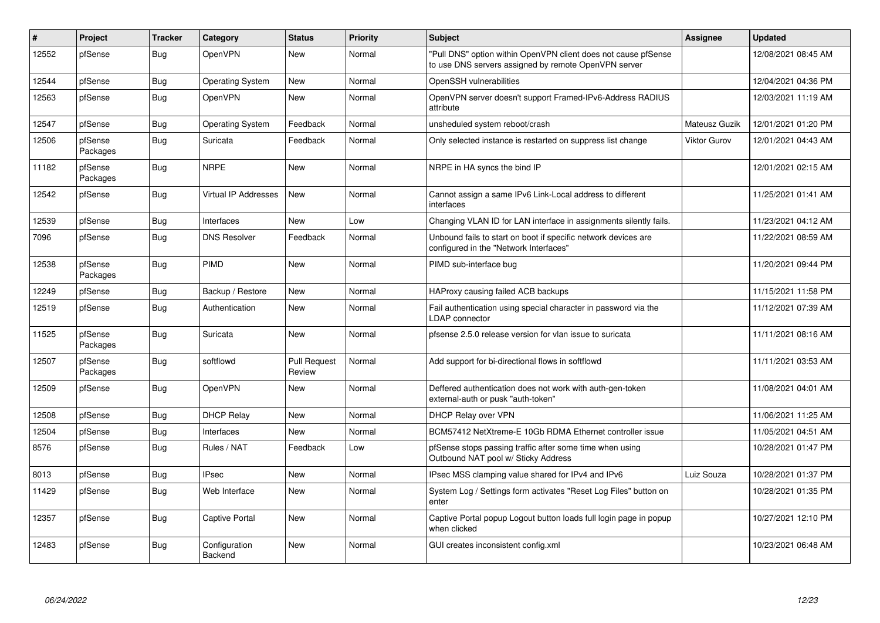| #     | Project             | <b>Tracker</b> | Category                    | <b>Status</b>                 | <b>Priority</b> | <b>Subject</b>                                                                                                         | <b>Assignee</b> | <b>Updated</b>      |
|-------|---------------------|----------------|-----------------------------|-------------------------------|-----------------|------------------------------------------------------------------------------------------------------------------------|-----------------|---------------------|
| 12552 | pfSense             | Bug            | <b>OpenVPN</b>              | <b>New</b>                    | Normal          | "Pull DNS" option within OpenVPN client does not cause pfSense<br>to use DNS servers assigned by remote OpenVPN server |                 | 12/08/2021 08:45 AM |
| 12544 | pfSense             | <b>Bug</b>     | <b>Operating System</b>     | <b>New</b>                    | Normal          | OpenSSH vulnerabilities                                                                                                |                 | 12/04/2021 04:36 PM |
| 12563 | pfSense             | Bug            | <b>OpenVPN</b>              | New                           | Normal          | OpenVPN server doesn't support Framed-IPv6-Address RADIUS<br>attribute                                                 |                 | 12/03/2021 11:19 AM |
| 12547 | pfSense             | <b>Bug</b>     | <b>Operating System</b>     | Feedback                      | Normal          | unsheduled system reboot/crash                                                                                         | Mateusz Guzik   | 12/01/2021 01:20 PM |
| 12506 | pfSense<br>Packages | <b>Bug</b>     | Suricata                    | Feedback                      | Normal          | Only selected instance is restarted on suppress list change                                                            | Viktor Gurov    | 12/01/2021 04:43 AM |
| 11182 | pfSense<br>Packages | <b>Bug</b>     | <b>NRPE</b>                 | <b>New</b>                    | Normal          | NRPE in HA syncs the bind IP                                                                                           |                 | 12/01/2021 02:15 AM |
| 12542 | pfSense             | <b>Bug</b>     | <b>Virtual IP Addresses</b> | <b>New</b>                    | Normal          | Cannot assign a same IPv6 Link-Local address to different<br>interfaces                                                |                 | 11/25/2021 01:41 AM |
| 12539 | pfSense             | <b>Bug</b>     | Interfaces                  | New                           | Low             | Changing VLAN ID for LAN interface in assignments silently fails.                                                      |                 | 11/23/2021 04:12 AM |
| 7096  | pfSense             | Bug            | <b>DNS Resolver</b>         | Feedback                      | Normal          | Unbound fails to start on boot if specific network devices are<br>configured in the "Network Interfaces"               |                 | 11/22/2021 08:59 AM |
| 12538 | pfSense<br>Packages | <b>Bug</b>     | PIMD                        | <b>New</b>                    | Normal          | PIMD sub-interface bug                                                                                                 |                 | 11/20/2021 09:44 PM |
| 12249 | pfSense             | <b>Bug</b>     | Backup / Restore            | <b>New</b>                    | Normal          | HAProxy causing failed ACB backups                                                                                     |                 | 11/15/2021 11:58 PM |
| 12519 | pfSense             | Bug            | Authentication              | New                           | Normal          | Fail authentication using special character in password via the<br>LDAP connector                                      |                 | 11/12/2021 07:39 AM |
| 11525 | pfSense<br>Packages | <b>Bug</b>     | Suricata                    | New                           | Normal          | pfsense 2.5.0 release version for vlan issue to suricata                                                               |                 | 11/11/2021 08:16 AM |
| 12507 | pfSense<br>Packages | <b>Bug</b>     | softflowd                   | <b>Pull Request</b><br>Review | Normal          | Add support for bi-directional flows in softflowd                                                                      |                 | 11/11/2021 03:53 AM |
| 12509 | pfSense             | <b>Bug</b>     | OpenVPN                     | New                           | Normal          | Deffered authentication does not work with auth-gen-token<br>external-auth or pusk "auth-token"                        |                 | 11/08/2021 04:01 AM |
| 12508 | pfSense             | <b>Bug</b>     | <b>DHCP Relay</b>           | <b>New</b>                    | Normal          | DHCP Relay over VPN                                                                                                    |                 | 11/06/2021 11:25 AM |
| 12504 | pfSense             | <b>Bug</b>     | Interfaces                  | New                           | Normal          | BCM57412 NetXtreme-E 10Gb RDMA Ethernet controller issue                                                               |                 | 11/05/2021 04:51 AM |
| 8576  | pfSense             | <b>Bug</b>     | Rules / NAT                 | Feedback                      | Low             | pfSense stops passing traffic after some time when using<br>Outbound NAT pool w/ Sticky Address                        |                 | 10/28/2021 01:47 PM |
| 8013  | pfSense             | <b>Bug</b>     | <b>IPsec</b>                | New                           | Normal          | IPsec MSS clamping value shared for IPv4 and IPv6                                                                      | Luiz Souza      | 10/28/2021 01:37 PM |
| 11429 | pfSense             | Bug            | Web Interface               | <b>New</b>                    | Normal          | System Log / Settings form activates "Reset Log Files" button on<br>enter                                              |                 | 10/28/2021 01:35 PM |
| 12357 | pfSense             | <b>Bug</b>     | Captive Portal              | <b>New</b>                    | Normal          | Captive Portal popup Logout button loads full login page in popup<br>when clicked                                      |                 | 10/27/2021 12:10 PM |
| 12483 | pfSense             | <b>Bug</b>     | Configuration<br>Backend    | <b>New</b>                    | Normal          | GUI creates inconsistent config.xml                                                                                    |                 | 10/23/2021 06:48 AM |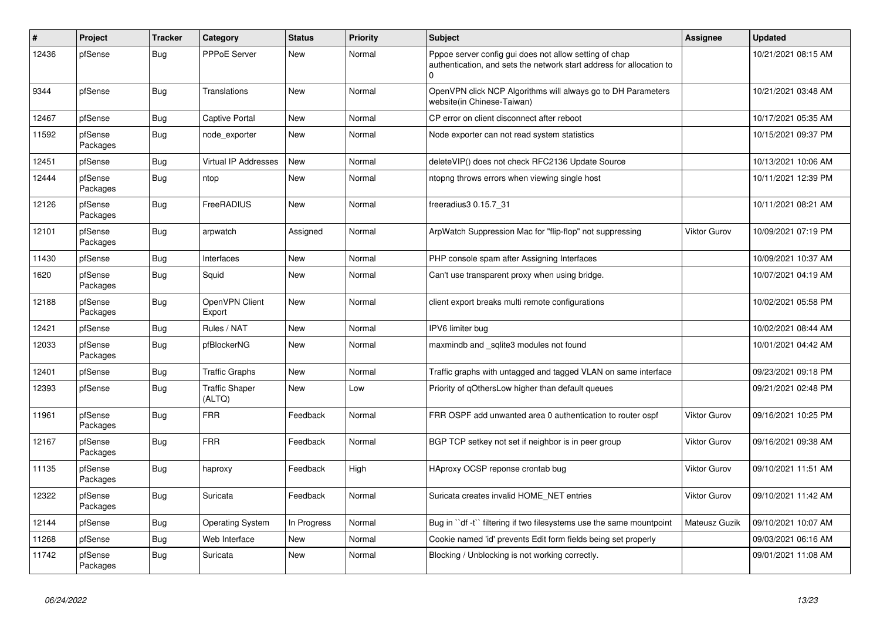| $\vert$ # | Project             | <b>Tracker</b> | Category                        | <b>Status</b> | Priority | <b>Subject</b>                                                                                                                      | <b>Assignee</b>     | <b>Updated</b>      |
|-----------|---------------------|----------------|---------------------------------|---------------|----------|-------------------------------------------------------------------------------------------------------------------------------------|---------------------|---------------------|
| 12436     | pfSense             | <b>Bug</b>     | PPPoE Server                    | New           | Normal   | Pppoe server config gui does not allow setting of chap<br>authentication, and sets the network start address for allocation to<br>U |                     | 10/21/2021 08:15 AM |
| 9344      | pfSense             | <b>Bug</b>     | Translations                    | <b>New</b>    | Normal   | OpenVPN click NCP Algorithms will always go to DH Parameters<br>website(in Chinese-Taiwan)                                          |                     | 10/21/2021 03:48 AM |
| 12467     | pfSense             | <b>Bug</b>     | Captive Portal                  | New           | Normal   | CP error on client disconnect after reboot                                                                                          |                     | 10/17/2021 05:35 AM |
| 11592     | pfSense<br>Packages | <b>Bug</b>     | node exporter                   | <b>New</b>    | Normal   | Node exporter can not read system statistics                                                                                        |                     | 10/15/2021 09:37 PM |
| 12451     | pfSense             | <b>Bug</b>     | <b>Virtual IP Addresses</b>     | New           | Normal   | deleteVIP() does not check RFC2136 Update Source                                                                                    |                     | 10/13/2021 10:06 AM |
| 12444     | pfSense<br>Packages | <b>Bug</b>     | ntop                            | New           | Normal   | ntopng throws errors when viewing single host                                                                                       |                     | 10/11/2021 12:39 PM |
| 12126     | pfSense<br>Packages | <b>Bug</b>     | FreeRADIUS                      | New           | Normal   | freeradius3 0.15.7_31                                                                                                               |                     | 10/11/2021 08:21 AM |
| 12101     | pfSense<br>Packages | <b>Bug</b>     | arpwatch                        | Assigned      | Normal   | ArpWatch Suppression Mac for "flip-flop" not suppressing                                                                            | <b>Viktor Gurov</b> | 10/09/2021 07:19 PM |
| 11430     | pfSense             | <b>Bug</b>     | Interfaces                      | <b>New</b>    | Normal   | PHP console spam after Assigning Interfaces                                                                                         |                     | 10/09/2021 10:37 AM |
| 1620      | pfSense<br>Packages | Bug            | Squid                           | <b>New</b>    | Normal   | Can't use transparent proxy when using bridge.                                                                                      |                     | 10/07/2021 04:19 AM |
| 12188     | pfSense<br>Packages | Bug            | OpenVPN Client<br>Export        | New           | Normal   | client export breaks multi remote configurations                                                                                    |                     | 10/02/2021 05:58 PM |
| 12421     | pfSense             | Bug            | Rules / NAT                     | New           | Normal   | IPV6 limiter bug                                                                                                                    |                     | 10/02/2021 08:44 AM |
| 12033     | pfSense<br>Packages | <b>Bug</b>     | pfBlockerNG                     | New           | Normal   | maxmindb and sqlite3 modules not found                                                                                              |                     | 10/01/2021 04:42 AM |
| 12401     | pfSense             | Bug            | <b>Traffic Graphs</b>           | <b>New</b>    | Normal   | Traffic graphs with untagged and tagged VLAN on same interface                                                                      |                     | 09/23/2021 09:18 PM |
| 12393     | pfSense             | <b>Bug</b>     | <b>Traffic Shaper</b><br>(ALTQ) | New           | Low      | Priority of gOthersLow higher than default queues                                                                                   |                     | 09/21/2021 02:48 PM |
| 11961     | pfSense<br>Packages | Bug            | <b>FRR</b>                      | Feedback      | Normal   | FRR OSPF add unwanted area 0 authentication to router ospf                                                                          | Viktor Gurov        | 09/16/2021 10:25 PM |
| 12167     | pfSense<br>Packages | <b>Bug</b>     | <b>FRR</b>                      | Feedback      | Normal   | BGP TCP setkey not set if neighbor is in peer group                                                                                 | <b>Viktor Gurov</b> | 09/16/2021 09:38 AM |
| 11135     | pfSense<br>Packages | <b>Bug</b>     | haproxy                         | Feedback      | High     | HAproxy OCSP reponse crontab bug                                                                                                    | <b>Viktor Gurov</b> | 09/10/2021 11:51 AM |
| 12322     | pfSense<br>Packages | Bug            | Suricata                        | Feedback      | Normal   | Suricata creates invalid HOME NET entries                                                                                           | <b>Viktor Gurov</b> | 09/10/2021 11:42 AM |
| 12144     | pfSense             | <b>Bug</b>     | <b>Operating System</b>         | In Progress   | Normal   | Bug in "df-t" filtering if two filesystems use the same mountpoint                                                                  | Mateusz Guzik       | 09/10/2021 10:07 AM |
| 11268     | pfSense             | <b>Bug</b>     | Web Interface                   | <b>New</b>    | Normal   | Cookie named 'id' prevents Edit form fields being set properly                                                                      |                     | 09/03/2021 06:16 AM |
| 11742     | pfSense<br>Packages | <b>Bug</b>     | Suricata                        | <b>New</b>    | Normal   | Blocking / Unblocking is not working correctly.                                                                                     |                     | 09/01/2021 11:08 AM |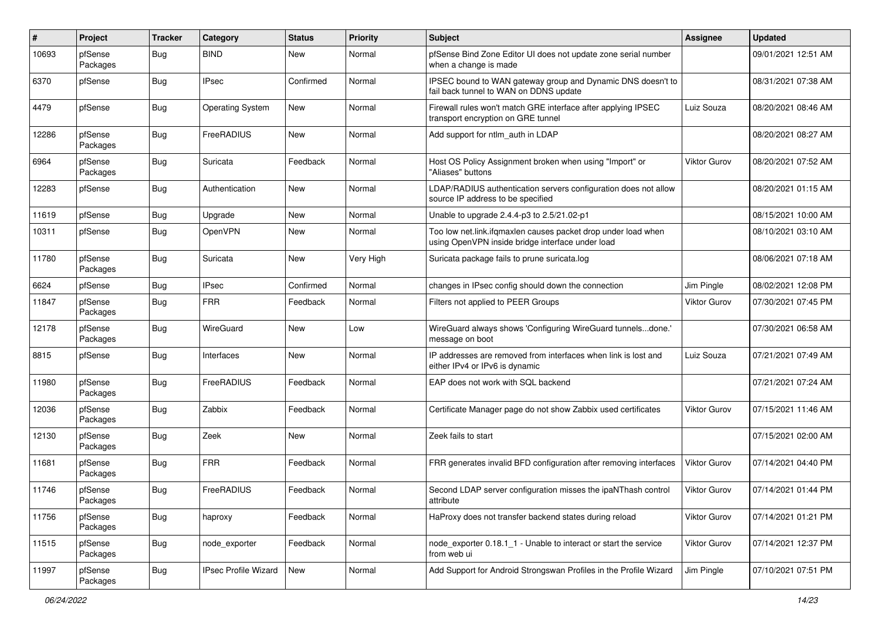| $\pmb{\#}$ | Project             | <b>Tracker</b> | Category                | <b>Status</b> | Priority  | <b>Subject</b>                                                                                                    | <b>Assignee</b>     | <b>Updated</b>      |
|------------|---------------------|----------------|-------------------------|---------------|-----------|-------------------------------------------------------------------------------------------------------------------|---------------------|---------------------|
| 10693      | pfSense<br>Packages | <b>Bug</b>     | <b>BIND</b>             | New           | Normal    | pfSense Bind Zone Editor UI does not update zone serial number<br>when a change is made                           |                     | 09/01/2021 12:51 AM |
| 6370       | pfSense             | <b>Bug</b>     | <b>IPsec</b>            | Confirmed     | Normal    | IPSEC bound to WAN gateway group and Dynamic DNS doesn't to<br>fail back tunnel to WAN on DDNS update             |                     | 08/31/2021 07:38 AM |
| 4479       | pfSense             | <b>Bug</b>     | <b>Operating System</b> | <b>New</b>    | Normal    | Firewall rules won't match GRE interface after applying IPSEC<br>transport encryption on GRE tunnel               | Luiz Souza          | 08/20/2021 08:46 AM |
| 12286      | pfSense<br>Packages | <b>Bug</b>     | FreeRADIUS              | New           | Normal    | Add support for ntlm auth in LDAP                                                                                 |                     | 08/20/2021 08:27 AM |
| 6964       | pfSense<br>Packages | <b>Bug</b>     | Suricata                | Feedback      | Normal    | Host OS Policy Assignment broken when using "Import" or<br>"Aliases" buttons                                      | Viktor Gurov        | 08/20/2021 07:52 AM |
| 12283      | pfSense             | <b>Bug</b>     | Authentication          | New           | Normal    | LDAP/RADIUS authentication servers configuration does not allow<br>source IP address to be specified              |                     | 08/20/2021 01:15 AM |
| 11619      | pfSense             | <b>Bug</b>     | Upgrade                 | New           | Normal    | Unable to upgrade 2.4.4-p3 to 2.5/21.02-p1                                                                        |                     | 08/15/2021 10:00 AM |
| 10311      | pfSense             | <b>Bug</b>     | OpenVPN                 | New           | Normal    | Too low net.link.ifqmaxlen causes packet drop under load when<br>using OpenVPN inside bridge interface under load |                     | 08/10/2021 03:10 AM |
| 11780      | pfSense<br>Packages | <b>Bug</b>     | Suricata                | <b>New</b>    | Very High | Suricata package fails to prune suricata.log                                                                      |                     | 08/06/2021 07:18 AM |
| 6624       | pfSense             | <b>Bug</b>     | <b>IPsec</b>            | Confirmed     | Normal    | changes in IPsec config should down the connection                                                                | Jim Pingle          | 08/02/2021 12:08 PM |
| 11847      | pfSense<br>Packages | <b>Bug</b>     | <b>FRR</b>              | Feedback      | Normal    | Filters not applied to PEER Groups                                                                                | <b>Viktor Gurov</b> | 07/30/2021 07:45 PM |
| 12178      | pfSense<br>Packages | <b>Bug</b>     | WireGuard               | New           | Low       | WireGuard always shows 'Configuring WireGuard tunnelsdone.'<br>message on boot                                    |                     | 07/30/2021 06:58 AM |
| 8815       | pfSense             | <b>Bug</b>     | Interfaces              | New           | Normal    | IP addresses are removed from interfaces when link is lost and<br>either IPv4 or IPv6 is dynamic                  | Luiz Souza          | 07/21/2021 07:49 AM |
| 11980      | pfSense<br>Packages | <b>Bug</b>     | FreeRADIUS              | Feedback      | Normal    | EAP does not work with SQL backend                                                                                |                     | 07/21/2021 07:24 AM |
| 12036      | pfSense<br>Packages | <b>Bug</b>     | Zabbix                  | Feedback      | Normal    | Certificate Manager page do not show Zabbix used certificates                                                     | <b>Viktor Gurov</b> | 07/15/2021 11:46 AM |
| 12130      | pfSense<br>Packages | <b>Bug</b>     | Zeek                    | New           | Normal    | Zeek fails to start                                                                                               |                     | 07/15/2021 02:00 AM |
| 11681      | pfSense<br>Packages | Bug            | <b>FRR</b>              | Feedback      | Normal    | FRR generates invalid BFD configuration after removing interfaces                                                 | <b>Viktor Gurov</b> | 07/14/2021 04:40 PM |
| 11746      | pfSense<br>Packages | <b>Bug</b>     | FreeRADIUS              | Feedback      | Normal    | Second LDAP server configuration misses the ipaNThash control<br>attribute                                        | <b>Viktor Gurov</b> | 07/14/2021 01:44 PM |
| 11756      | pfSense<br>Packages | <b>Bug</b>     | haproxy                 | Feedback      | Normal    | HaProxy does not transfer backend states during reload                                                            | Viktor Gurov        | 07/14/2021 01:21 PM |
| 11515      | pfSense<br>Packages | <b>Bug</b>     | node_exporter           | Feedback      | Normal    | node exporter 0.18.1 1 - Unable to interact or start the service<br>from web ui                                   | Viktor Gurov        | 07/14/2021 12:37 PM |
| 11997      | pfSense<br>Packages | <b>Bug</b>     | IPsec Profile Wizard    | New           | Normal    | Add Support for Android Strongswan Profiles in the Profile Wizard                                                 | Jim Pingle          | 07/10/2021 07:51 PM |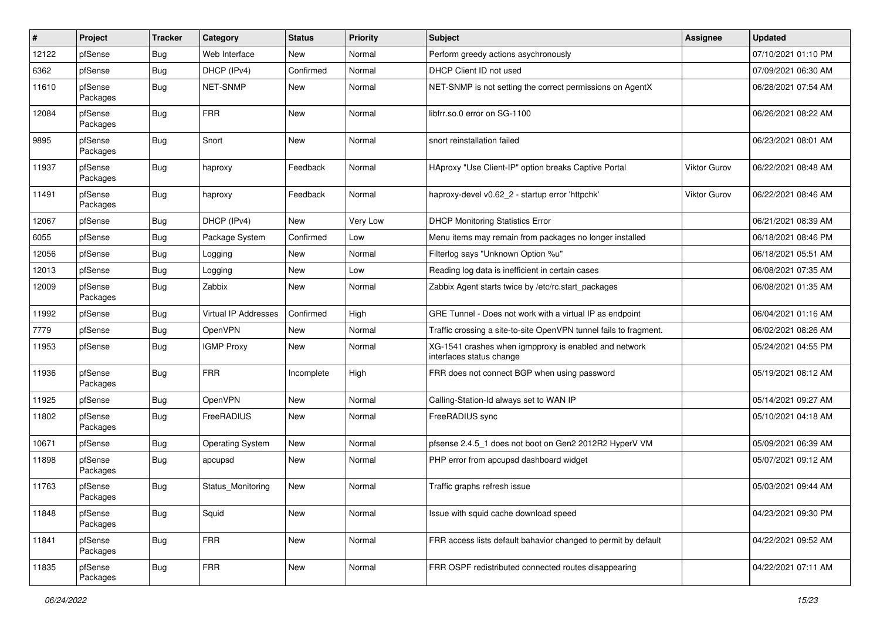| #     | Project             | <b>Tracker</b> | Category             | <b>Status</b> | Priority | <b>Subject</b>                                                                    | <b>Assignee</b>     | <b>Updated</b>      |
|-------|---------------------|----------------|----------------------|---------------|----------|-----------------------------------------------------------------------------------|---------------------|---------------------|
| 12122 | pfSense             | Bug            | Web Interface        | New           | Normal   | Perform greedy actions asychronously                                              |                     | 07/10/2021 01:10 PM |
| 6362  | pfSense             | Bug            | DHCP (IPv4)          | Confirmed     | Normal   | DHCP Client ID not used                                                           |                     | 07/09/2021 06:30 AM |
| 11610 | pfSense<br>Packages | <b>Bug</b>     | NET-SNMP             | New           | Normal   | NET-SNMP is not setting the correct permissions on AgentX                         |                     | 06/28/2021 07:54 AM |
| 12084 | pfSense<br>Packages | <b>Bug</b>     | <b>FRR</b>           | <b>New</b>    | Normal   | libfrr.so.0 error on SG-1100                                                      |                     | 06/26/2021 08:22 AM |
| 9895  | pfSense<br>Packages | <b>Bug</b>     | Snort                | New           | Normal   | snort reinstallation failed                                                       |                     | 06/23/2021 08:01 AM |
| 11937 | pfSense<br>Packages | Bug            | haproxy              | Feedback      | Normal   | HAproxy "Use Client-IP" option breaks Captive Portal                              | <b>Viktor Gurov</b> | 06/22/2021 08:48 AM |
| 11491 | pfSense<br>Packages | <b>Bug</b>     | haproxy              | Feedback      | Normal   | haproxy-devel v0.62 2 - startup error 'httpchk'                                   | Viktor Gurov        | 06/22/2021 08:46 AM |
| 12067 | pfSense             | <b>Bug</b>     | DHCP (IPv4)          | <b>New</b>    | Very Low | <b>DHCP Monitoring Statistics Error</b>                                           |                     | 06/21/2021 08:39 AM |
| 6055  | pfSense             | Bug            | Package System       | Confirmed     | Low      | Menu items may remain from packages no longer installed                           |                     | 06/18/2021 08:46 PM |
| 12056 | pfSense             | <b>Bug</b>     | Logging              | New           | Normal   | Filterlog says "Unknown Option %u"                                                |                     | 06/18/2021 05:51 AM |
| 12013 | pfSense             | <b>Bug</b>     | Logging              | <b>New</b>    | Low      | Reading log data is inefficient in certain cases                                  |                     | 06/08/2021 07:35 AM |
| 12009 | pfSense<br>Packages | <b>Bug</b>     | Zabbix               | New           | Normal   | Zabbix Agent starts twice by /etc/rc.start packages                               |                     | 06/08/2021 01:35 AM |
| 11992 | pfSense             | <b>Bug</b>     | Virtual IP Addresses | Confirmed     | High     | GRE Tunnel - Does not work with a virtual IP as endpoint                          |                     | 06/04/2021 01:16 AM |
| 7779  | pfSense             | <b>Bug</b>     | <b>OpenVPN</b>       | New           | Normal   | Traffic crossing a site-to-site OpenVPN tunnel fails to fragment.                 |                     | 06/02/2021 08:26 AM |
| 11953 | pfSense             | <b>Bug</b>     | <b>IGMP Proxy</b>    | New           | Normal   | XG-1541 crashes when igmpproxy is enabled and network<br>interfaces status change |                     | 05/24/2021 04:55 PM |
| 11936 | pfSense<br>Packages | <b>Bug</b>     | <b>FRR</b>           | Incomplete    | High     | FRR does not connect BGP when using password                                      |                     | 05/19/2021 08:12 AM |
| 11925 | pfSense             | Bug            | <b>OpenVPN</b>       | New           | Normal   | Calling-Station-Id always set to WAN IP                                           |                     | 05/14/2021 09:27 AM |
| 11802 | pfSense<br>Packages | <b>Bug</b>     | FreeRADIUS           | New           | Normal   | FreeRADIUS sync                                                                   |                     | 05/10/2021 04:18 AM |
| 10671 | pfSense             | Bug            | Operating System     | <b>New</b>    | Normal   | pfsense 2.4.5 1 does not boot on Gen2 2012R2 HyperV VM                            |                     | 05/09/2021 06:39 AM |
| 11898 | pfSense<br>Packages | <b>Bug</b>     | apcupsd              | New           | Normal   | PHP error from apcupsd dashboard widget                                           |                     | 05/07/2021 09:12 AM |
| 11763 | pfSense<br>Packages | <b>Bug</b>     | Status_Monitoring    | <b>New</b>    | Normal   | Traffic graphs refresh issue                                                      |                     | 05/03/2021 09:44 AM |
| 11848 | pfSense<br>Packages | <b>Bug</b>     | Squid                | New           | Normal   | Issue with squid cache download speed                                             |                     | 04/23/2021 09:30 PM |
| 11841 | pfSense<br>Packages | <b>Bug</b>     | <b>FRR</b>           | New           | Normal   | FRR access lists default bahavior changed to permit by default                    |                     | 04/22/2021 09:52 AM |
| 11835 | pfSense<br>Packages | <b>Bug</b>     | <b>FRR</b>           | New           | Normal   | FRR OSPF redistributed connected routes disappearing                              |                     | 04/22/2021 07:11 AM |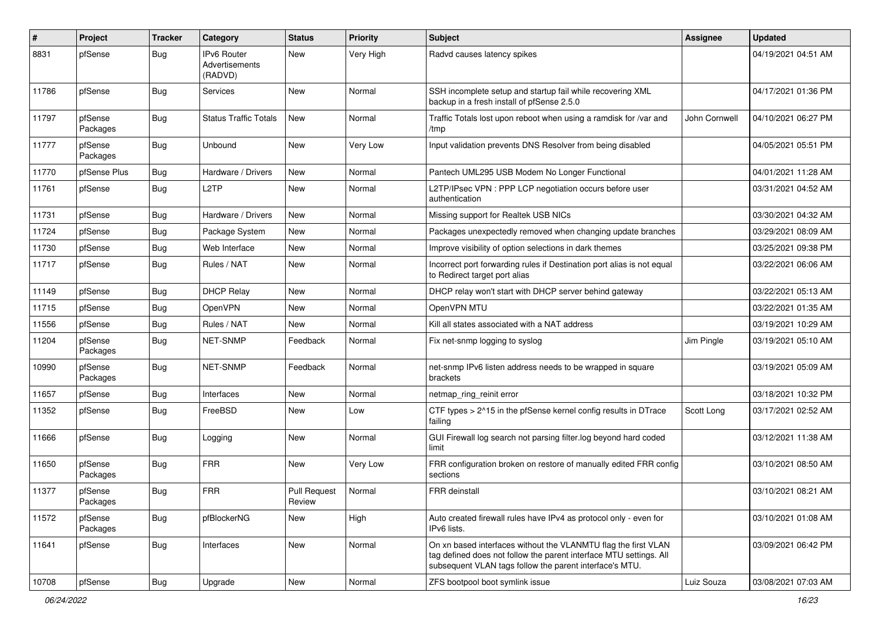| $\#$  | Project             | <b>Tracker</b> | Category                                        | <b>Status</b>                 | <b>Priority</b> | <b>Subject</b>                                                                                                                                                                                  | <b>Assignee</b> | <b>Updated</b>      |
|-------|---------------------|----------------|-------------------------------------------------|-------------------------------|-----------------|-------------------------------------------------------------------------------------------------------------------------------------------------------------------------------------------------|-----------------|---------------------|
| 8831  | pfSense             | <b>Bug</b>     | <b>IPv6 Router</b><br>Advertisements<br>(RADVD) | <b>New</b>                    | Very High       | Radvd causes latency spikes                                                                                                                                                                     |                 | 04/19/2021 04:51 AM |
| 11786 | pfSense             | <b>Bug</b>     | Services                                        | <b>New</b>                    | Normal          | SSH incomplete setup and startup fail while recovering XML<br>backup in a fresh install of pfSense 2.5.0                                                                                        |                 | 04/17/2021 01:36 PM |
| 11797 | pfSense<br>Packages | <b>Bug</b>     | <b>Status Traffic Totals</b>                    | <b>New</b>                    | Normal          | Traffic Totals lost upon reboot when using a ramdisk for /var and<br>/tmp                                                                                                                       | John Cornwell   | 04/10/2021 06:27 PM |
| 11777 | pfSense<br>Packages | <b>Bug</b>     | Unbound                                         | New                           | Very Low        | Input validation prevents DNS Resolver from being disabled                                                                                                                                      |                 | 04/05/2021 05:51 PM |
| 11770 | pfSense Plus        | Bug            | Hardware / Drivers                              | <b>New</b>                    | Normal          | Pantech UML295 USB Modem No Longer Functional                                                                                                                                                   |                 | 04/01/2021 11:28 AM |
| 11761 | pfSense             | <b>Bug</b>     | L <sub>2</sub> TP                               | New                           | Normal          | L2TP/IPsec VPN : PPP LCP negotiation occurs before user<br>authentication                                                                                                                       |                 | 03/31/2021 04:52 AM |
| 11731 | pfSense             | <b>Bug</b>     | Hardware / Drivers                              | <b>New</b>                    | Normal          | Missing support for Realtek USB NICs                                                                                                                                                            |                 | 03/30/2021 04:32 AM |
| 11724 | pfSense             | Bug            | Package System                                  | New                           | Normal          | Packages unexpectedly removed when changing update branches                                                                                                                                     |                 | 03/29/2021 08:09 AM |
| 11730 | pfSense             | <b>Bug</b>     | Web Interface                                   | New                           | Normal          | Improve visibility of option selections in dark themes                                                                                                                                          |                 | 03/25/2021 09:38 PM |
| 11717 | pfSense             | <b>Bug</b>     | Rules / NAT                                     | <b>New</b>                    | Normal          | Incorrect port forwarding rules if Destination port alias is not equal<br>to Redirect target port alias                                                                                         |                 | 03/22/2021 06:06 AM |
| 11149 | pfSense             | <b>Bug</b>     | <b>DHCP Relay</b>                               | <b>New</b>                    | Normal          | DHCP relay won't start with DHCP server behind gateway                                                                                                                                          |                 | 03/22/2021 05:13 AM |
| 11715 | pfSense             | <b>Bug</b>     | <b>OpenVPN</b>                                  | New                           | Normal          | OpenVPN MTU                                                                                                                                                                                     |                 | 03/22/2021 01:35 AM |
| 11556 | pfSense             | <b>Bug</b>     | Rules / NAT                                     | <b>New</b>                    | Normal          | Kill all states associated with a NAT address                                                                                                                                                   |                 | 03/19/2021 10:29 AM |
| 11204 | pfSense<br>Packages | <b>Bug</b>     | NET-SNMP                                        | Feedback                      | Normal          | Fix net-snmp logging to syslog                                                                                                                                                                  | Jim Pingle      | 03/19/2021 05:10 AM |
| 10990 | pfSense<br>Packages | <b>Bug</b>     | NET-SNMP                                        | Feedback                      | Normal          | net-snmp IPv6 listen address needs to be wrapped in square<br>brackets                                                                                                                          |                 | 03/19/2021 05:09 AM |
| 11657 | pfSense             | Bug            | Interfaces                                      | New                           | Normal          | netmap ring reinit error                                                                                                                                                                        |                 | 03/18/2021 10:32 PM |
| 11352 | pfSense             | <b>Bug</b>     | FreeBSD                                         | New                           | Low             | CTF types > 2^15 in the pfSense kernel config results in DTrace<br>failing                                                                                                                      | Scott Long      | 03/17/2021 02:52 AM |
| 11666 | pfSense             | Bug            | Logging                                         | <b>New</b>                    | Normal          | GUI Firewall log search not parsing filter.log beyond hard coded<br>limit                                                                                                                       |                 | 03/12/2021 11:38 AM |
| 11650 | pfSense<br>Packages | <b>Bug</b>     | <b>FRR</b>                                      | New                           | Very Low        | FRR configuration broken on restore of manually edited FRR config<br>sections                                                                                                                   |                 | 03/10/2021 08:50 AM |
| 11377 | pfSense<br>Packages | <b>Bug</b>     | <b>FRR</b>                                      | <b>Pull Request</b><br>Review | Normal          | FRR deinstall                                                                                                                                                                                   |                 | 03/10/2021 08:21 AM |
| 11572 | pfSense<br>Packages | <b>Bug</b>     | pfBlockerNG                                     | New                           | High            | Auto created firewall rules have IPv4 as protocol only - even for<br>IPv6 lists.                                                                                                                |                 | 03/10/2021 01:08 AM |
| 11641 | pfSense             | <b>Bug</b>     | Interfaces                                      | New                           | Normal          | On xn based interfaces without the VLANMTU flag the first VLAN<br>tag defined does not follow the parent interface MTU settings. All<br>subsequent VLAN tags follow the parent interface's MTU. |                 | 03/09/2021 06:42 PM |
| 10708 | pfSense             | <b>Bug</b>     | Upgrade                                         | New                           | Normal          | ZFS bootpool boot symlink issue                                                                                                                                                                 | Luiz Souza      | 03/08/2021 07:03 AM |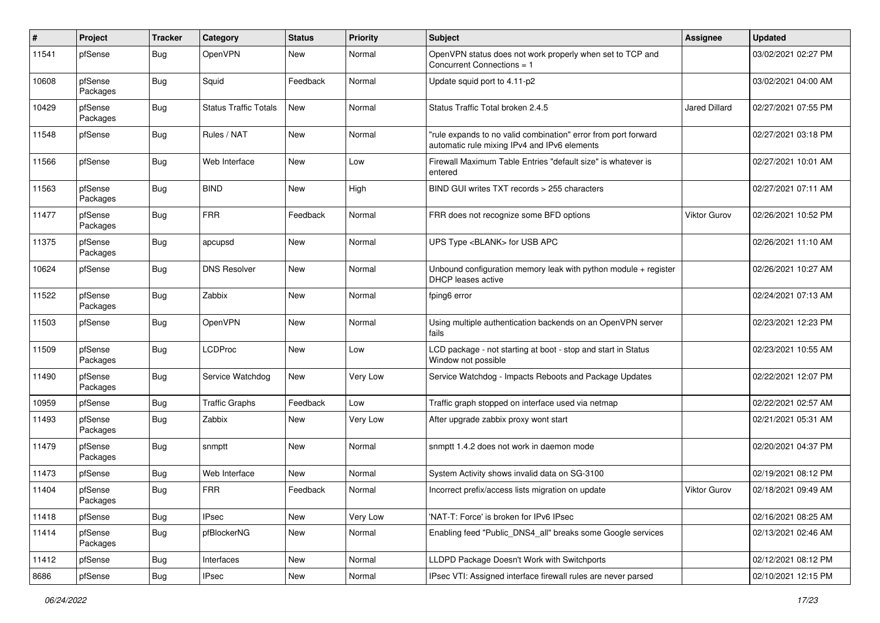| #     | Project             | <b>Tracker</b> | Category                     | <b>Status</b> | <b>Priority</b> | <b>Subject</b>                                                                                                 | Assignee            | <b>Updated</b>      |
|-------|---------------------|----------------|------------------------------|---------------|-----------------|----------------------------------------------------------------------------------------------------------------|---------------------|---------------------|
| 11541 | pfSense             | <b>Bug</b>     | <b>OpenVPN</b>               | New           | Normal          | OpenVPN status does not work properly when set to TCP and<br>Concurrent Connections = 1                        |                     | 03/02/2021 02:27 PM |
| 10608 | pfSense<br>Packages | <b>Bug</b>     | Squid                        | Feedback      | Normal          | Update squid port to 4.11-p2                                                                                   |                     | 03/02/2021 04:00 AM |
| 10429 | pfSense<br>Packages | <b>Bug</b>     | <b>Status Traffic Totals</b> | <b>New</b>    | Normal          | Status Traffic Total broken 2.4.5                                                                              | Jared Dillard       | 02/27/2021 07:55 PM |
| 11548 | pfSense             | <b>Bug</b>     | Rules / NAT                  | <b>New</b>    | Normal          | "rule expands to no valid combination" error from port forward<br>automatic rule mixing IPv4 and IPv6 elements |                     | 02/27/2021 03:18 PM |
| 11566 | pfSense             | Bug            | Web Interface                | <b>New</b>    | Low             | Firewall Maximum Table Entries "default size" is whatever is<br>entered                                        |                     | 02/27/2021 10:01 AM |
| 11563 | pfSense<br>Packages | <b>Bug</b>     | <b>BIND</b>                  | New           | High            | BIND GUI writes TXT records > 255 characters                                                                   |                     | 02/27/2021 07:11 AM |
| 11477 | pfSense<br>Packages | <b>Bug</b>     | <b>FRR</b>                   | Feedback      | Normal          | FRR does not recognize some BFD options                                                                        | <b>Viktor Gurov</b> | 02/26/2021 10:52 PM |
| 11375 | pfSense<br>Packages | <b>Bug</b>     | apcupsd                      | <b>New</b>    | Normal          | UPS Type <blank> for USB APC</blank>                                                                           |                     | 02/26/2021 11:10 AM |
| 10624 | pfSense             | Bug            | <b>DNS Resolver</b>          | <b>New</b>    | Normal          | Unbound configuration memory leak with python module + register<br><b>DHCP</b> leases active                   |                     | 02/26/2021 10:27 AM |
| 11522 | pfSense<br>Packages | <b>Bug</b>     | Zabbix                       | <b>New</b>    | Normal          | fping6 error                                                                                                   |                     | 02/24/2021 07:13 AM |
| 11503 | pfSense             | <b>Bug</b>     | <b>OpenVPN</b>               | <b>New</b>    | Normal          | Using multiple authentication backends on an OpenVPN server<br>fails                                           |                     | 02/23/2021 12:23 PM |
| 11509 | pfSense<br>Packages | Bug            | LCDProc                      | <b>New</b>    | Low             | LCD package - not starting at boot - stop and start in Status<br>Window not possible                           |                     | 02/23/2021 10:55 AM |
| 11490 | pfSense<br>Packages | Bug            | Service Watchdog             | New           | Very Low        | Service Watchdog - Impacts Reboots and Package Updates                                                         |                     | 02/22/2021 12:07 PM |
| 10959 | pfSense             | <b>Bug</b>     | <b>Traffic Graphs</b>        | Feedback      | Low             | Traffic graph stopped on interface used via netmap                                                             |                     | 02/22/2021 02:57 AM |
| 11493 | pfSense<br>Packages | Bug            | Zabbix                       | New           | Very Low        | After upgrade zabbix proxy wont start                                                                          |                     | 02/21/2021 05:31 AM |
| 11479 | pfSense<br>Packages | <b>Bug</b>     | snmptt                       | New           | Normal          | snmptt 1.4.2 does not work in daemon mode                                                                      |                     | 02/20/2021 04:37 PM |
| 11473 | pfSense             | Bug            | Web Interface                | <b>New</b>    | Normal          | System Activity shows invalid data on SG-3100                                                                  |                     | 02/19/2021 08:12 PM |
| 11404 | pfSense<br>Packages | Bug            | <b>FRR</b>                   | Feedback      | Normal          | Incorrect prefix/access lists migration on update                                                              | <b>Viktor Gurov</b> | 02/18/2021 09:49 AM |
| 11418 | pfSense             | <b>Bug</b>     | <b>IPsec</b>                 | New           | Very Low        | 'NAT-T: Force' is broken for IPv6 IPsec                                                                        |                     | 02/16/2021 08:25 AM |
| 11414 | pfSense<br>Packages | <b>Bug</b>     | pfBlockerNG                  | New           | Normal          | Enabling feed "Public_DNS4_all" breaks some Google services                                                    |                     | 02/13/2021 02:46 AM |
| 11412 | pfSense             | <b>Bug</b>     | Interfaces                   | New           | Normal          | LLDPD Package Doesn't Work with Switchports                                                                    |                     | 02/12/2021 08:12 PM |
| 8686  | pfSense             | <b>Bug</b>     | <b>IPsec</b>                 | New           | Normal          | IPsec VTI: Assigned interface firewall rules are never parsed                                                  |                     | 02/10/2021 12:15 PM |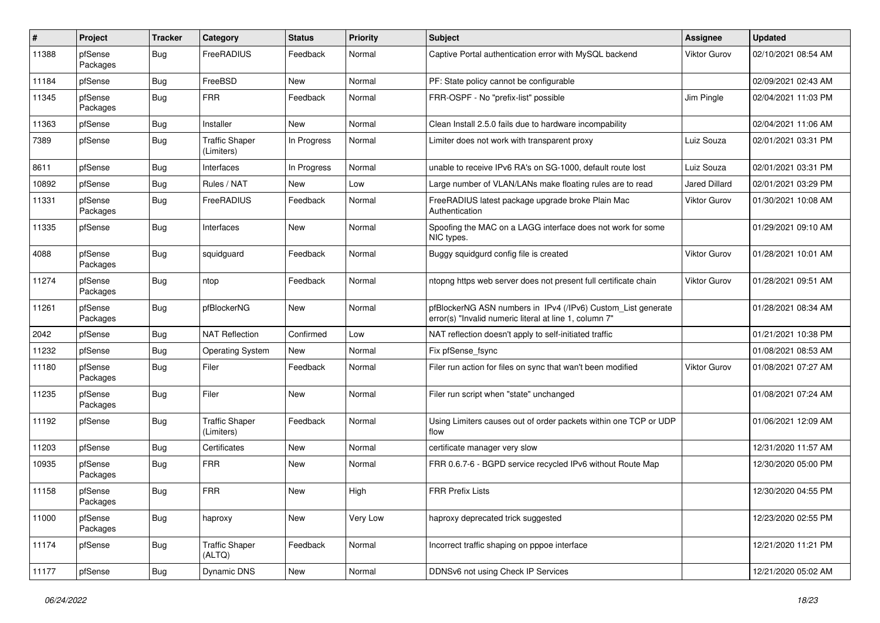| $\vert$ # | Project             | <b>Tracker</b> | Category                            | <b>Status</b> | <b>Priority</b> | <b>Subject</b>                                                                                                         | <b>Assignee</b>     | <b>Updated</b>      |
|-----------|---------------------|----------------|-------------------------------------|---------------|-----------------|------------------------------------------------------------------------------------------------------------------------|---------------------|---------------------|
| 11388     | pfSense<br>Packages | Bug            | FreeRADIUS                          | Feedback      | Normal          | Captive Portal authentication error with MySQL backend                                                                 | <b>Viktor Gurov</b> | 02/10/2021 08:54 AM |
| 11184     | pfSense             | Bug            | FreeBSD                             | New           | Normal          | PF: State policy cannot be configurable                                                                                |                     | 02/09/2021 02:43 AM |
| 11345     | pfSense<br>Packages | <b>Bug</b>     | <b>FRR</b>                          | Feedback      | Normal          | FRR-OSPF - No "prefix-list" possible                                                                                   | Jim Pingle          | 02/04/2021 11:03 PM |
| 11363     | pfSense             | <b>Bug</b>     | Installer                           | New           | Normal          | Clean Install 2.5.0 fails due to hardware incompability                                                                |                     | 02/04/2021 11:06 AM |
| 7389      | pfSense             | Bug            | <b>Traffic Shaper</b><br>(Limiters) | In Progress   | Normal          | Limiter does not work with transparent proxy                                                                           | Luiz Souza          | 02/01/2021 03:31 PM |
| 8611      | pfSense             | <b>Bug</b>     | Interfaces                          | In Progress   | Normal          | unable to receive IPv6 RA's on SG-1000, default route lost                                                             | Luiz Souza          | 02/01/2021 03:31 PM |
| 10892     | pfSense             | <b>Bug</b>     | Rules / NAT                         | New           | Low             | Large number of VLAN/LANs make floating rules are to read                                                              | Jared Dillard       | 02/01/2021 03:29 PM |
| 11331     | pfSense<br>Packages | <b>Bug</b>     | FreeRADIUS                          | Feedback      | Normal          | FreeRADIUS latest package upgrade broke Plain Mac<br>Authentication                                                    | <b>Viktor Gurov</b> | 01/30/2021 10:08 AM |
| 11335     | pfSense             | Bug            | Interfaces                          | New           | Normal          | Spoofing the MAC on a LAGG interface does not work for some<br>NIC types.                                              |                     | 01/29/2021 09:10 AM |
| 4088      | pfSense<br>Packages | <b>Bug</b>     | squidguard                          | Feedback      | Normal          | Buggy squidgurd config file is created                                                                                 | Viktor Gurov        | 01/28/2021 10:01 AM |
| 11274     | pfSense<br>Packages | <b>Bug</b>     | ntop                                | Feedback      | Normal          | ntopng https web server does not present full certificate chain                                                        | <b>Viktor Gurov</b> | 01/28/2021 09:51 AM |
| 11261     | pfSense<br>Packages | <b>Bug</b>     | pfBlockerNG                         | New           | Normal          | pfBlockerNG ASN numbers in IPv4 (/IPv6) Custom_List generate<br>error(s) "Invalid numeric literal at line 1, column 7" |                     | 01/28/2021 08:34 AM |
| 2042      | pfSense             | <b>Bug</b>     | <b>NAT Reflection</b>               | Confirmed     | Low             | NAT reflection doesn't apply to self-initiated traffic                                                                 |                     | 01/21/2021 10:38 PM |
| 11232     | pfSense             | <b>Bug</b>     | <b>Operating System</b>             | New           | Normal          | Fix pfSense fsync                                                                                                      |                     | 01/08/2021 08:53 AM |
| 11180     | pfSense<br>Packages | <b>Bug</b>     | Filer                               | Feedback      | Normal          | Filer run action for files on sync that wan't been modified                                                            | <b>Viktor Gurov</b> | 01/08/2021 07:27 AM |
| 11235     | pfSense<br>Packages | <b>Bug</b>     | Filer                               | New           | Normal          | Filer run script when "state" unchanged                                                                                |                     | 01/08/2021 07:24 AM |
| 11192     | pfSense             | <b>Bug</b>     | <b>Traffic Shaper</b><br>(Limiters) | Feedback      | Normal          | Using Limiters causes out of order packets within one TCP or UDP<br>flow                                               |                     | 01/06/2021 12:09 AM |
| 11203     | pfSense             | <b>Bug</b>     | Certificates                        | New           | Normal          | certificate manager very slow                                                                                          |                     | 12/31/2020 11:57 AM |
| 10935     | pfSense<br>Packages | <b>Bug</b>     | <b>FRR</b>                          | New           | Normal          | FRR 0.6.7-6 - BGPD service recycled IPv6 without Route Map                                                             |                     | 12/30/2020 05:00 PM |
| 11158     | pfSense<br>Packages | <b>Bug</b>     | <b>FRR</b>                          | New           | High            | <b>FRR Prefix Lists</b>                                                                                                |                     | 12/30/2020 04:55 PM |
| 11000     | pfSense<br>Packages | <b>Bug</b>     | haproxy                             | New           | Very Low        | haproxy deprecated trick suggested                                                                                     |                     | 12/23/2020 02:55 PM |
| 11174     | pfSense             | <b>Bug</b>     | <b>Traffic Shaper</b><br>(ALTQ)     | Feedback      | Normal          | Incorrect traffic shaping on pppoe interface                                                                           |                     | 12/21/2020 11:21 PM |
| 11177     | pfSense             | <b>Bug</b>     | Dynamic DNS                         | New           | Normal          | DDNSv6 not using Check IP Services                                                                                     |                     | 12/21/2020 05:02 AM |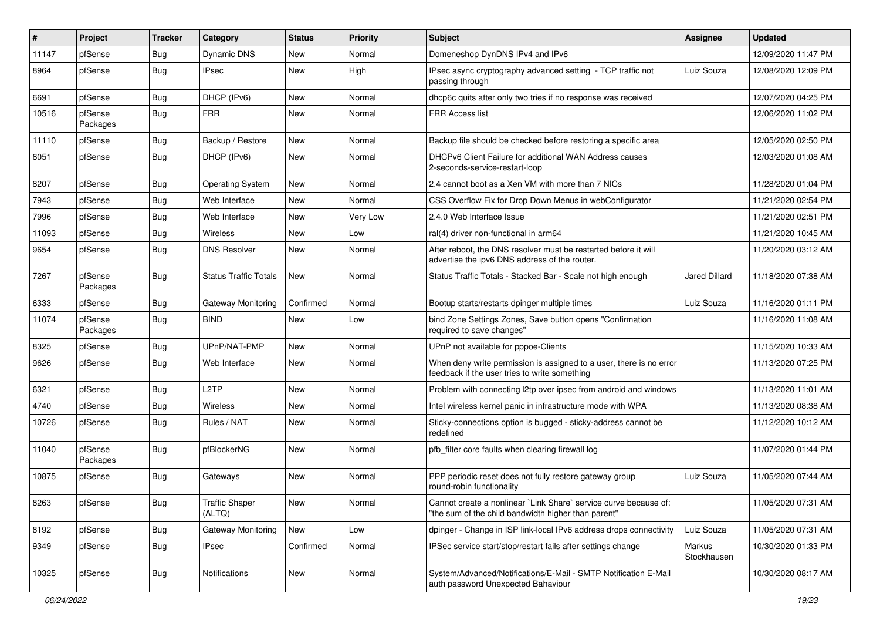| $\vert$ # | Project             | <b>Tracker</b> | Category                        | <b>Status</b> | Priority | <b>Subject</b>                                                                                                          | Assignee              | <b>Updated</b>      |
|-----------|---------------------|----------------|---------------------------------|---------------|----------|-------------------------------------------------------------------------------------------------------------------------|-----------------------|---------------------|
| 11147     | pfSense             | <b>Bug</b>     | Dynamic DNS                     | New           | Normal   | Domeneshop DynDNS IPv4 and IPv6                                                                                         |                       | 12/09/2020 11:47 PM |
| 8964      | pfSense             | <b>Bug</b>     | <b>IPsec</b>                    | New           | High     | IPsec async cryptography advanced setting - TCP traffic not<br>passing through                                          | Luiz Souza            | 12/08/2020 12:09 PM |
| 6691      | pfSense             | Bug            | DHCP (IPv6)                     | <b>New</b>    | Normal   | dhcp6c quits after only two tries if no response was received                                                           |                       | 12/07/2020 04:25 PM |
| 10516     | pfSense<br>Packages | <b>Bug</b>     | <b>FRR</b>                      | <b>New</b>    | Normal   | FRR Access list                                                                                                         |                       | 12/06/2020 11:02 PM |
| 11110     | pfSense             | <b>Bug</b>     | Backup / Restore                | <b>New</b>    | Normal   | Backup file should be checked before restoring a specific area                                                          |                       | 12/05/2020 02:50 PM |
| 6051      | pfSense             | <b>Bug</b>     | DHCP (IPv6)                     | <b>New</b>    | Normal   | DHCPv6 Client Failure for additional WAN Address causes<br>2-seconds-service-restart-loop                               |                       | 12/03/2020 01:08 AM |
| 8207      | pfSense             | <b>Bug</b>     | <b>Operating System</b>         | <b>New</b>    | Normal   | 2.4 cannot boot as a Xen VM with more than 7 NICs                                                                       |                       | 11/28/2020 01:04 PM |
| 7943      | pfSense             | <b>Bug</b>     | Web Interface                   | New           | Normal   | CSS Overflow Fix for Drop Down Menus in webConfigurator                                                                 |                       | 11/21/2020 02:54 PM |
| 7996      | pfSense             | <b>Bug</b>     | Web Interface                   | <b>New</b>    | Very Low | 2.4.0 Web Interface Issue                                                                                               |                       | 11/21/2020 02:51 PM |
| 11093     | pfSense             | <b>Bug</b>     | Wireless                        | <b>New</b>    | Low      | ral(4) driver non-functional in arm64                                                                                   |                       | 11/21/2020 10:45 AM |
| 9654      | pfSense             | <b>Bug</b>     | <b>DNS Resolver</b>             | New           | Normal   | After reboot, the DNS resolver must be restarted before it will<br>advertise the ipv6 DNS address of the router.        |                       | 11/20/2020 03:12 AM |
| 7267      | pfSense<br>Packages | <b>Bug</b>     | <b>Status Traffic Totals</b>    | New           | Normal   | Status Traffic Totals - Stacked Bar - Scale not high enough                                                             | Jared Dillard         | 11/18/2020 07:38 AM |
| 6333      | pfSense             | <b>Bug</b>     | Gateway Monitoring              | Confirmed     | Normal   | Bootup starts/restarts dpinger multiple times                                                                           | Luiz Souza            | 11/16/2020 01:11 PM |
| 11074     | pfSense<br>Packages | Bug            | <b>BIND</b>                     | <b>New</b>    | Low      | bind Zone Settings Zones, Save button opens "Confirmation<br>required to save changes"                                  |                       | 11/16/2020 11:08 AM |
| 8325      | pfSense             | <b>Bug</b>     | UPnP/NAT-PMP                    | <b>New</b>    | Normal   | UPnP not available for pppoe-Clients                                                                                    |                       | 11/15/2020 10:33 AM |
| 9626      | pfSense             | <b>Bug</b>     | Web Interface                   | New           | Normal   | When deny write permission is assigned to a user, there is no error<br>feedback if the user tries to write something    |                       | 11/13/2020 07:25 PM |
| 6321      | pfSense             | Bug            | L <sub>2</sub> TP               | <b>New</b>    | Normal   | Problem with connecting l2tp over ipsec from android and windows                                                        |                       | 11/13/2020 11:01 AM |
| 4740      | pfSense             | <b>Bug</b>     | Wireless                        | New           | Normal   | Intel wireless kernel panic in infrastructure mode with WPA                                                             |                       | 11/13/2020 08:38 AM |
| 10726     | pfSense             | Bug            | Rules / NAT                     | New           | Normal   | Sticky-connections option is bugged - sticky-address cannot be<br>redefined                                             |                       | 11/12/2020 10:12 AM |
| 11040     | pfSense<br>Packages | Bug            | pfBlockerNG                     | <b>New</b>    | Normal   | pfb_filter core faults when clearing firewall log                                                                       |                       | 11/07/2020 01:44 PM |
| 10875     | pfSense             | <b>Bug</b>     | Gateways                        | <b>New</b>    | Normal   | PPP periodic reset does not fully restore gateway group<br>round-robin functionality                                    | Luiz Souza            | 11/05/2020 07:44 AM |
| 8263      | pfSense             | Bug            | <b>Traffic Shaper</b><br>(ALTQ) | New           | Normal   | Cannot create a nonlinear `Link Share` service curve because of:<br>"the sum of the child bandwidth higher than parent" |                       | 11/05/2020 07:31 AM |
| 8192      | pfSense             | <b>Bug</b>     | Gateway Monitoring              | New           | Low      | dpinger - Change in ISP link-local IPv6 address drops connectivity                                                      | Luiz Souza            | 11/05/2020 07:31 AM |
| 9349      | pfSense             | <b>Bug</b>     | <b>IPsec</b>                    | Confirmed     | Normal   | IPSec service start/stop/restart fails after settings change                                                            | Markus<br>Stockhausen | 10/30/2020 01:33 PM |
| 10325     | pfSense             | <b>Bug</b>     | Notifications                   | New           | Normal   | System/Advanced/Notifications/E-Mail - SMTP Notification E-Mail<br>auth password Unexpected Bahaviour                   |                       | 10/30/2020 08:17 AM |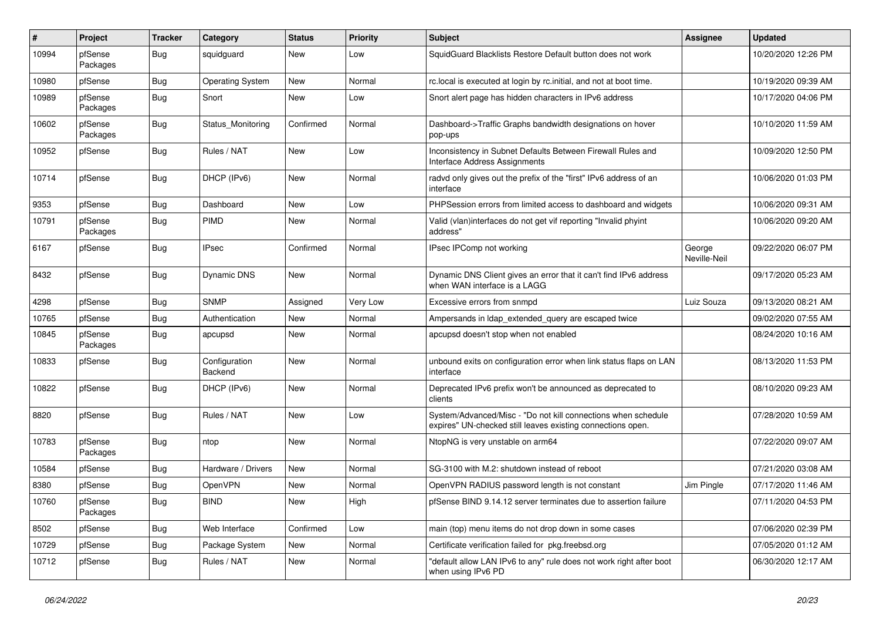| #     | Project             | <b>Tracker</b> | Category                 | <b>Status</b> | <b>Priority</b> | <b>Subject</b>                                                                                                               | <b>Assignee</b>        | <b>Updated</b>      |
|-------|---------------------|----------------|--------------------------|---------------|-----------------|------------------------------------------------------------------------------------------------------------------------------|------------------------|---------------------|
| 10994 | pfSense<br>Packages | Bug            | squidguard               | New           | Low             | SquidGuard Blacklists Restore Default button does not work                                                                   |                        | 10/20/2020 12:26 PM |
| 10980 | pfSense             | Bug            | <b>Operating System</b>  | New           | Normal          | rc.local is executed at login by rc.initial, and not at boot time.                                                           |                        | 10/19/2020 09:39 AM |
| 10989 | pfSense<br>Packages | <b>Bug</b>     | Snort                    | New           | Low             | Snort alert page has hidden characters in IPv6 address                                                                       |                        | 10/17/2020 04:06 PM |
| 10602 | pfSense<br>Packages | Bug            | Status_Monitoring        | Confirmed     | Normal          | Dashboard->Traffic Graphs bandwidth designations on hover<br>pop-ups                                                         |                        | 10/10/2020 11:59 AM |
| 10952 | pfSense             | Bug            | Rules / NAT              | New           | Low             | Inconsistency in Subnet Defaults Between Firewall Rules and<br><b>Interface Address Assignments</b>                          |                        | 10/09/2020 12:50 PM |
| 10714 | pfSense             | <b>Bug</b>     | DHCP (IPv6)              | New           | Normal          | radvd only gives out the prefix of the "first" IPv6 address of an<br>interface                                               |                        | 10/06/2020 01:03 PM |
| 9353  | pfSense             | Bug            | Dashboard                | New           | Low             | PHPSession errors from limited access to dashboard and widgets                                                               |                        | 10/06/2020 09:31 AM |
| 10791 | pfSense<br>Packages | Bug            | PIMD                     | New           | Normal          | Valid (vlan)interfaces do not get vif reporting "Invalid phyint<br>address"                                                  |                        | 10/06/2020 09:20 AM |
| 6167  | pfSense             | Bug            | <b>IPsec</b>             | Confirmed     | Normal          | IPsec IPComp not working                                                                                                     | George<br>Neville-Neil | 09/22/2020 06:07 PM |
| 8432  | pfSense             | Bug            | Dynamic DNS              | New           | Normal          | Dynamic DNS Client gives an error that it can't find IPv6 address<br>when WAN interface is a LAGG                            |                        | 09/17/2020 05:23 AM |
| 4298  | pfSense             | Bug            | <b>SNMP</b>              | Assigned      | Very Low        | Excessive errors from snmpd                                                                                                  | Luiz Souza             | 09/13/2020 08:21 AM |
| 10765 | pfSense             | Bug            | Authentication           | New           | Normal          | Ampersands in Idap extended query are escaped twice                                                                          |                        | 09/02/2020 07:55 AM |
| 10845 | pfSense<br>Packages | <b>Bug</b>     | apcupsd                  | New           | Normal          | apcupsd doesn't stop when not enabled                                                                                        |                        | 08/24/2020 10:16 AM |
| 10833 | pfSense             | <b>Bug</b>     | Configuration<br>Backend | New           | Normal          | unbound exits on configuration error when link status flaps on LAN<br>interface                                              |                        | 08/13/2020 11:53 PM |
| 10822 | pfSense             | <b>Bug</b>     | DHCP (IPv6)              | New           | Normal          | Deprecated IPv6 prefix won't be announced as deprecated to<br>clients                                                        |                        | 08/10/2020 09:23 AM |
| 8820  | pfSense             | <b>Bug</b>     | Rules / NAT              | New           | Low             | System/Advanced/Misc - "Do not kill connections when schedule<br>expires" UN-checked still leaves existing connections open. |                        | 07/28/2020 10:59 AM |
| 10783 | pfSense<br>Packages | <b>Bug</b>     | ntop                     | New           | Normal          | NtopNG is very unstable on arm64                                                                                             |                        | 07/22/2020 09:07 AM |
| 10584 | pfSense             | <b>Bug</b>     | Hardware / Drivers       | New           | Normal          | SG-3100 with M.2: shutdown instead of reboot                                                                                 |                        | 07/21/2020 03:08 AM |
| 8380  | pfSense             | <b>Bug</b>     | OpenVPN                  | New           | Normal          | OpenVPN RADIUS password length is not constant                                                                               | Jim Pingle             | 07/17/2020 11:46 AM |
| 10760 | pfSense<br>Packages | <b>Bug</b>     | <b>BIND</b>              | New           | High            | pfSense BIND 9.14.12 server terminates due to assertion failure                                                              |                        | 07/11/2020 04:53 PM |
| 8502  | pfSense             | <b>Bug</b>     | Web Interface            | Confirmed     | Low             | main (top) menu items do not drop down in some cases                                                                         |                        | 07/06/2020 02:39 PM |
| 10729 | pfSense             | <b>Bug</b>     | Package System           | New           | Normal          | Certificate verification failed for pkg.freebsd.org                                                                          |                        | 07/05/2020 01:12 AM |
| 10712 | pfSense             | <b>Bug</b>     | Rules / NAT              | New           | Normal          | "default allow LAN IPv6 to any" rule does not work right after boot<br>when using IPv6 PD                                    |                        | 06/30/2020 12:17 AM |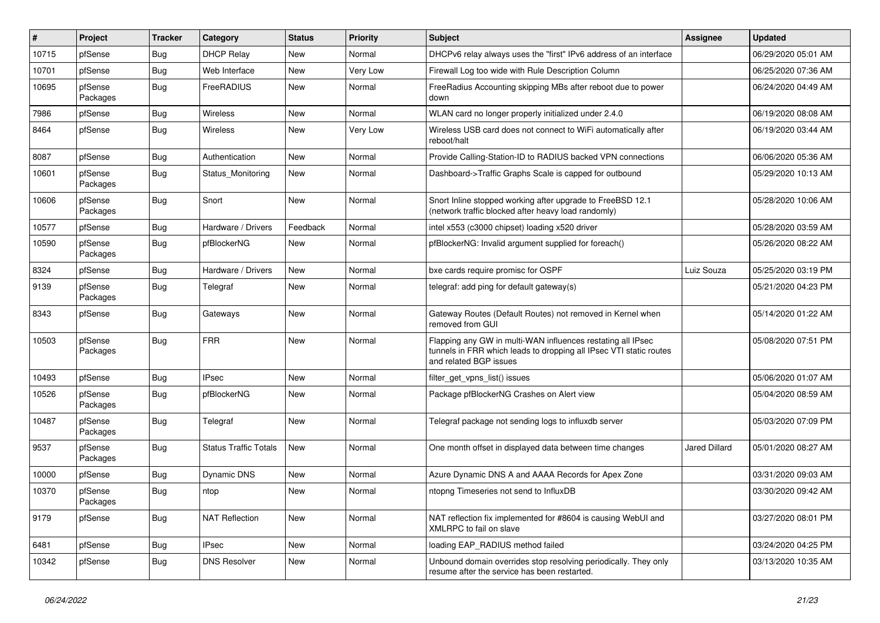| #     | Project             | <b>Tracker</b> | Category                     | <b>Status</b> | Priority | <b>Subject</b>                                                                                                                                              | Assignee      | <b>Updated</b>      |
|-------|---------------------|----------------|------------------------------|---------------|----------|-------------------------------------------------------------------------------------------------------------------------------------------------------------|---------------|---------------------|
| 10715 | pfSense             | Bug            | <b>DHCP Relay</b>            | New           | Normal   | DHCPv6 relay always uses the "first" IPv6 address of an interface                                                                                           |               | 06/29/2020 05:01 AM |
| 10701 | pfSense             | Bug            | Web Interface                | <b>New</b>    | Very Low | Firewall Log too wide with Rule Description Column                                                                                                          |               | 06/25/2020 07:36 AM |
| 10695 | pfSense<br>Packages | <b>Bug</b>     | FreeRADIUS                   | New           | Normal   | Free Radius Accounting skipping MBs after reboot due to power<br>down                                                                                       |               | 06/24/2020 04:49 AM |
| 7986  | pfSense             | <b>Bug</b>     | <b>Wireless</b>              | <b>New</b>    | Normal   | WLAN card no longer properly initialized under 2.4.0                                                                                                        |               | 06/19/2020 08:08 AM |
| 8464  | pfSense             | Bug            | Wireless                     | New           | Very Low | Wireless USB card does not connect to WiFi automatically after<br>reboot/halt                                                                               |               | 06/19/2020 03:44 AM |
| 8087  | pfSense             | <b>Bug</b>     | Authentication               | <b>New</b>    | Normal   | Provide Calling-Station-ID to RADIUS backed VPN connections                                                                                                 |               | 06/06/2020 05:36 AM |
| 10601 | pfSense<br>Packages | Bug            | Status Monitoring            | New           | Normal   | Dashboard->Traffic Graphs Scale is capped for outbound                                                                                                      |               | 05/29/2020 10:13 AM |
| 10606 | pfSense<br>Packages | Bug            | Snort                        | New           | Normal   | Snort Inline stopped working after upgrade to FreeBSD 12.1<br>(network traffic blocked after heavy load randomly)                                           |               | 05/28/2020 10:06 AM |
| 10577 | pfSense             | Bug            | Hardware / Drivers           | Feedback      | Normal   | intel x553 (c3000 chipset) loading x520 driver                                                                                                              |               | 05/28/2020 03:59 AM |
| 10590 | pfSense<br>Packages | Bug            | pfBlockerNG                  | New           | Normal   | pfBlockerNG: Invalid argument supplied for foreach()                                                                                                        |               | 05/26/2020 08:22 AM |
| 8324  | pfSense             | <b>Bug</b>     | Hardware / Drivers           | New           | Normal   | bxe cards require promisc for OSPF                                                                                                                          | Luiz Souza    | 05/25/2020 03:19 PM |
| 9139  | pfSense<br>Packages | <b>Bug</b>     | Telegraf                     | New           | Normal   | telegraf: add ping for default gateway(s)                                                                                                                   |               | 05/21/2020 04:23 PM |
| 8343  | pfSense             | <b>Bug</b>     | Gateways                     | <b>New</b>    | Normal   | Gateway Routes (Default Routes) not removed in Kernel when<br>removed from GUI                                                                              |               | 05/14/2020 01:22 AM |
| 10503 | pfSense<br>Packages | <b>Bug</b>     | <b>FRR</b>                   | <b>New</b>    | Normal   | Flapping any GW in multi-WAN influences restating all IPsec<br>tunnels in FRR which leads to dropping all IPsec VTI static routes<br>and related BGP issues |               | 05/08/2020 07:51 PM |
| 10493 | pfSense             | Bug            | <b>IPsec</b>                 | <b>New</b>    | Normal   | filter_get_vpns_list() issues                                                                                                                               |               | 05/06/2020 01:07 AM |
| 10526 | pfSense<br>Packages | Bug            | pfBlockerNG                  | New           | Normal   | Package pfBlockerNG Crashes on Alert view                                                                                                                   |               | 05/04/2020 08:59 AM |
| 10487 | pfSense<br>Packages | <b>Bug</b>     | Telegraf                     | <b>New</b>    | Normal   | Telegraf package not sending logs to influxdb server                                                                                                        |               | 05/03/2020 07:09 PM |
| 9537  | pfSense<br>Packages | <b>Bug</b>     | <b>Status Traffic Totals</b> | <b>New</b>    | Normal   | One month offset in displayed data between time changes                                                                                                     | Jared Dillard | 05/01/2020 08:27 AM |
| 10000 | pfSense             | Bug            | Dynamic DNS                  | New           | Normal   | Azure Dynamic DNS A and AAAA Records for Apex Zone                                                                                                          |               | 03/31/2020 09:03 AM |
| 10370 | pfSense<br>Packages | <b>Bug</b>     | ntop                         | New           | Normal   | ntopng Timeseries not send to InfluxDB                                                                                                                      |               | 03/30/2020 09:42 AM |
| 9179  | pfSense             | Bug            | <b>NAT Reflection</b>        | New           | Normal   | NAT reflection fix implemented for #8604 is causing WebUI and<br>XMLRPC to fail on slave                                                                    |               | 03/27/2020 08:01 PM |
| 6481  | pfSense             | <b>Bug</b>     | <b>IPsec</b>                 | New           | Normal   | loading EAP RADIUS method failed                                                                                                                            |               | 03/24/2020 04:25 PM |
| 10342 | pfSense             | <b>Bug</b>     | <b>DNS Resolver</b>          | New           | Normal   | Unbound domain overrides stop resolving periodically. They only<br>resume after the service has been restarted.                                             |               | 03/13/2020 10:35 AM |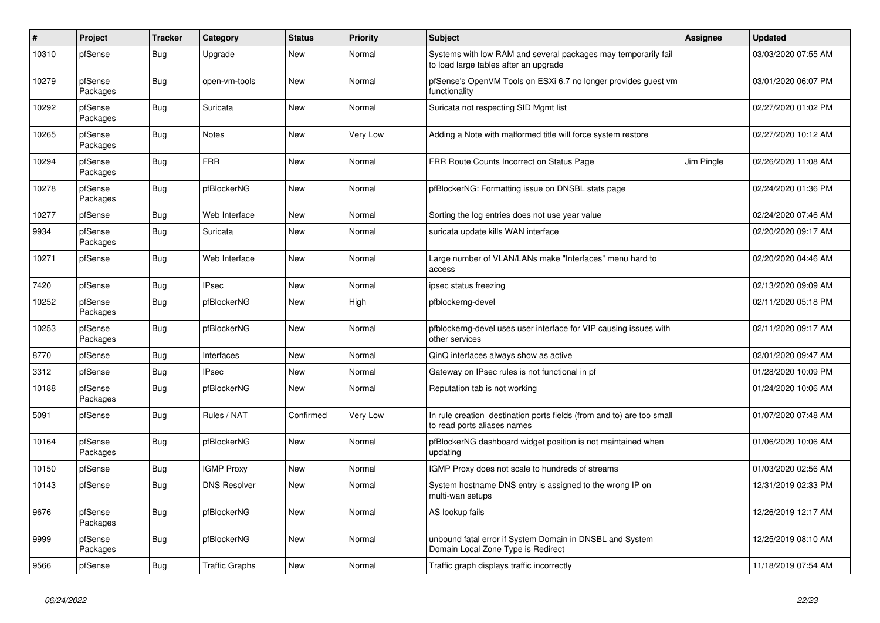| $\sharp$ | Project             | <b>Tracker</b> | Category              | <b>Status</b> | <b>Priority</b> | <b>Subject</b>                                                                                          | Assignee   | <b>Updated</b>      |
|----------|---------------------|----------------|-----------------------|---------------|-----------------|---------------------------------------------------------------------------------------------------------|------------|---------------------|
| 10310    | pfSense             | Bug            | Upgrade               | New           | Normal          | Systems with low RAM and several packages may temporarily fail<br>to load large tables after an upgrade |            | 03/03/2020 07:55 AM |
| 10279    | pfSense<br>Packages | <b>Bug</b>     | open-vm-tools         | New           | Normal          | pfSense's OpenVM Tools on ESXi 6.7 no longer provides guest vm<br>functionality                         |            | 03/01/2020 06:07 PM |
| 10292    | pfSense<br>Packages | <b>Bug</b>     | Suricata              | <b>New</b>    | Normal          | Suricata not respecting SID Mgmt list                                                                   |            | 02/27/2020 01:02 PM |
| 10265    | pfSense<br>Packages | <b>Bug</b>     | <b>Notes</b>          | New           | Very Low        | Adding a Note with malformed title will force system restore                                            |            | 02/27/2020 10:12 AM |
| 10294    | pfSense<br>Packages | Bug            | <b>FRR</b>            | New           | Normal          | FRR Route Counts Incorrect on Status Page                                                               | Jim Pingle | 02/26/2020 11:08 AM |
| 10278    | pfSense<br>Packages | <b>Bug</b>     | pfBlockerNG           | New           | Normal          | pfBlockerNG: Formatting issue on DNSBL stats page                                                       |            | 02/24/2020 01:36 PM |
| 10277    | pfSense             | <b>Bug</b>     | Web Interface         | New           | Normal          | Sorting the log entries does not use year value                                                         |            | 02/24/2020 07:46 AM |
| 9934     | pfSense<br>Packages | Bug            | Suricata              | <b>New</b>    | Normal          | suricata update kills WAN interface                                                                     |            | 02/20/2020 09:17 AM |
| 10271    | pfSense             | <b>Bug</b>     | Web Interface         | New           | Normal          | Large number of VLAN/LANs make "Interfaces" menu hard to<br>access                                      |            | 02/20/2020 04:46 AM |
| 7420     | pfSense             | Bug            | <b>IPsec</b>          | New           | Normal          | ipsec status freezing                                                                                   |            | 02/13/2020 09:09 AM |
| 10252    | pfSense<br>Packages | Bug            | pfBlockerNG           | New           | High            | pfblockerng-devel                                                                                       |            | 02/11/2020 05:18 PM |
| 10253    | pfSense<br>Packages | <b>Bug</b>     | pfBlockerNG           | New           | Normal          | pfblockerng-devel uses user interface for VIP causing issues with<br>other services                     |            | 02/11/2020 09:17 AM |
| 8770     | pfSense             | <b>Bug</b>     | Interfaces            | <b>New</b>    | Normal          | QinQ interfaces always show as active                                                                   |            | 02/01/2020 09:47 AM |
| 3312     | pfSense             | Bug            | <b>IPsec</b>          | New           | Normal          | Gateway on IPsec rules is not functional in pf                                                          |            | 01/28/2020 10:09 PM |
| 10188    | pfSense<br>Packages | <b>Bug</b>     | pfBlockerNG           | New           | Normal          | Reputation tab is not working                                                                           |            | 01/24/2020 10:06 AM |
| 5091     | pfSense             | Bug            | Rules / NAT           | Confirmed     | Very Low        | In rule creation destination ports fields (from and to) are too small<br>to read ports aliases names    |            | 01/07/2020 07:48 AM |
| 10164    | pfSense<br>Packages | Bug            | pfBlockerNG           | New           | Normal          | pfBlockerNG dashboard widget position is not maintained when<br>updating                                |            | 01/06/2020 10:06 AM |
| 10150    | pfSense             | <b>Bug</b>     | <b>IGMP Proxy</b>     | <b>New</b>    | Normal          | IGMP Proxy does not scale to hundreds of streams                                                        |            | 01/03/2020 02:56 AM |
| 10143    | pfSense             | Bug            | <b>DNS Resolver</b>   | New           | Normal          | System hostname DNS entry is assigned to the wrong IP on<br>multi-wan setups                            |            | 12/31/2019 02:33 PM |
| 9676     | pfSense<br>Packages | <b>Bug</b>     | pfBlockerNG           | <b>New</b>    | Normal          | AS lookup fails                                                                                         |            | 12/26/2019 12:17 AM |
| 9999     | pfSense<br>Packages | Bug            | pfBlockerNG           | New           | Normal          | unbound fatal error if System Domain in DNSBL and System<br>Domain Local Zone Type is Redirect          |            | 12/25/2019 08:10 AM |
| 9566     | pfSense             | <b>Bug</b>     | <b>Traffic Graphs</b> | New           | Normal          | Traffic graph displays traffic incorrectly                                                              |            | 11/18/2019 07:54 AM |